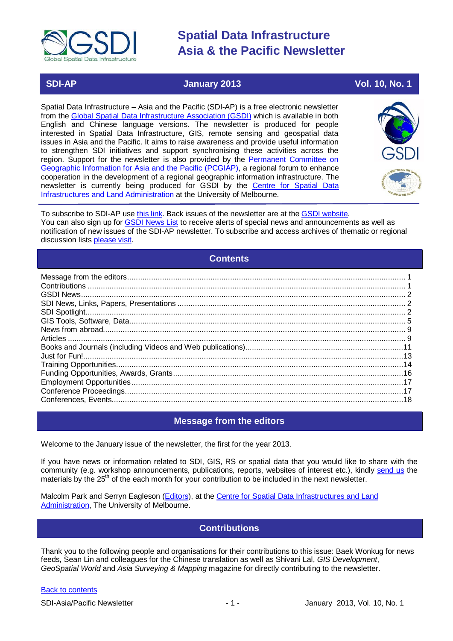

# **SDI-AP January 2013 Vol. 10, No. 1**

Spatial Data Infrastructure – Asia and the Pacific (SDI-AP) is a free electronic newsletter from the [Global Spatial Data Infrastructure Association \(GSDI\)](http://www.gsdi.org/) which is available in both English and Chinese language versions. The newsletter is produced for people interested in Spatial Data Infrastructure, GIS, remote sensing and geospatial data issues in Asia and the Pacific. It aims to raise awareness and provide useful information to strengthen SDI initiatives and support synchronising these activities across the region. Support for the newsletter is also provided by the Permanent Committee on [Geographic Information for Asia and the Pacific \(PCGIAP\)](http://www.pcgiap.org/), a regional forum to enhance cooperation in the development of a regional geographic information infrastructure. The newsletter is currently being produced for GSDI by the [Centre for Spatial Data](http://www.csdila.unimelb.edu.au/)  [Infrastructures and Land Administration](http://www.csdila.unimelb.edu.au/) at the University of Melbourne.



To subscribe to SDI-AP use [this link.](http://www.gsdi.org/newslist/gsdisubscribe.asp) Back issues of the newsletter are at the [GSDI website.](http://www.gsdi.org/newsletters.asp) You can also sign up for [GSDI News List](http://www.gsdi.org/newslist/gsdisubscribe.asp) to receive alerts of special news and announcements as well as notification of new issues of the SDI-AP newsletter. To subscribe and access archives of thematic or regional discussion lists [please visit.](http://www.gsdi.org/discussionlists.asp)

# **Contents**

<span id="page-0-0"></span>

# **Message from the editors**

<span id="page-0-1"></span>Welcome to the January issue of the newsletter, the first for the year 2013.

If you have news or information related to SDI, GIS, RS or spatial data that you would like to share with the community (e.g. workshop announcements, publications, reports, websites of interest etc.), kindly [send us](mailto:.SDI-AP@gsdi.org) the materials by the 25<sup>th</sup> of the each month for your contribution to be included in the next newsletter.

<span id="page-0-2"></span>Malcolm Park and Serryn Eagleson [\(Editors\)](mailto:Editor.SDIAP@gmail.com), at the [Centre for Spatial Data Infrastructures and Land](http://www.csdila.unimelb.edu.au/)  [Administration,](http://www.csdila.unimelb.edu.au/) The University of Melbourne.

# **Contributions**

Thank you to the following people and organisations for their contributions to this issue: Baek Wonkug for news feeds, Sean Lin and colleagues for the Chinese translation as well as Shivani Lal, *GIS Development*, *GeoSpatial World* and *Asia Surveying & Mapping* magazine for directly contributing to the newsletter.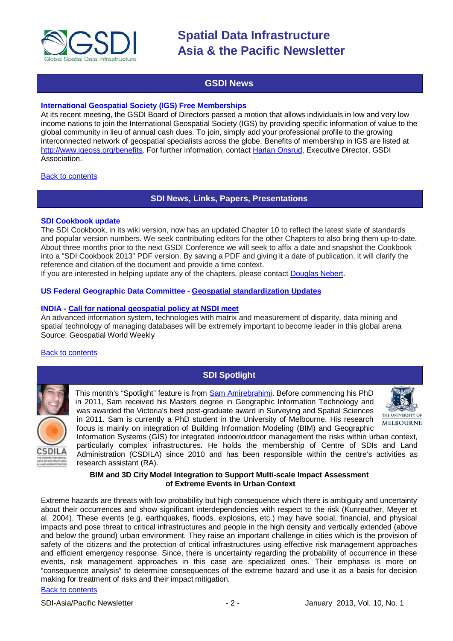

# **GSDI News**

### <span id="page-1-0"></span>**International Geospatial Society (IGS) Free Memberships**

At its recent meeting, the GSDI Board of Directors passed a motion that allows individuals in low and very low income nations to join the International Geospatial Society (IGS) by providing specific information of value to the global community in lieu of annual cash dues. To join, simply add your professional profile to the growing interconnected network of geospatial specialists across the globe. Benefits of membership in IGS are listed at [http://www.igeoss.org/benefits.](https://owa.unimelb.edu.au/owa/redir.aspx?C=54c2b4d3973d480282dc7c38384f4204&URL=http%3a%2f%2fwww.igeoss.org%2fbenefits) For further information, contact [Harlan Onsrud,](mailto:onsrud@gsdi.org) Executive Director, GSDI Association.

### <span id="page-1-1"></span>[Back to contents](#page-0-0)

# **SDI News, Links, Papers, Presentations**

#### **SDI Cookbook update**

The SDI Cookbook, in its wiki version, now has an updated Chapter 10 to reflect the latest slate of standards and popular version numbers. We seek contributing editors for the other Chapters to also bring them up-to-date. About three months prior to the next GSDI Conference we will seek to affix a date and snapshot the Cookbook into a "SDI Cookbook 2013" PDF version. By saving a PDF and giving it a date of publication, it will clarify the reference and citation of the document and provide a time context.

If you are interested in helping update any of the chapters, please contact [Douglas Nebert.](mailto:ddnebert@usgs.gov)

### **US Federal Geographic Data Committee - [Geospatial standardization Updates](http://www.fgdc.gov/standards/monthlyStandardsUpdate/index)**

#### **INDIA - [Call for national geospatial policy at NSDI meet](http://www.geospatialworld.net/News/View.aspx?ID=26066_Article)**

An advanced information system, technologies with matrix and measurement of disparity, data mining and spatial technology of managing databases will be extremely important to become leader in this global arena Source: Geospatial World Weekly

# <span id="page-1-2"></span>[Back to contents](#page-0-0)

SDII A

# **SDI Spotlight**

This month's "Spotlight" feature is from [Sam Amirebrahimi.](mailto:amis@unimelb.edu.au) Before commencing his PhD in 2011, Sam received his Masters degree in Geographic Information Technology and was awarded the Victoria's best post-graduate award in Surveying and Spatial Sciences in 2011. Sam is currently a PhD student in the University of Melbourne. His research focus is mainly on integration of Building Information Modeling (BIM) and Geographic



Information Systems (GIS) for integrated indoor/outdoor management the risks within urban context, particularly complex infrastructures. He holds the membership of Centre of SDIs and Land Administration (CSDILA) since 2010 and has been responsible within the centre's activities as research assistant (RA).

### **BIM and 3D City Model Integration to Support Multi-scale Impact Assessment of Extreme Events in Urban Context**

Extreme hazards are threats with low probability but high consequence which there is ambiguity and uncertainty about their occurrences and show significant interdependencies with respect to the risk (Kunreuther, Meyer et al. 2004). These events (e.g. earthquakes, floods, explosions, etc.) may have social, financial, and physical impacts and pose threat to critical infrastructures and people in the high density and vertically extended (above and below the ground) urban environment. They raise an important challenge in cities which is the provision of safety of the citizens and the protection of critical infrastructures using effective risk management approaches and efficient emergency response. Since, there is uncertainty regarding the probability of occurrence in these events, risk management approaches in this case are specialized ones. Their emphasis is more on "consequence analysis" to determine consequences of the extreme hazard and use it as a basis for decision making for treatment of risks and their impact mitigation.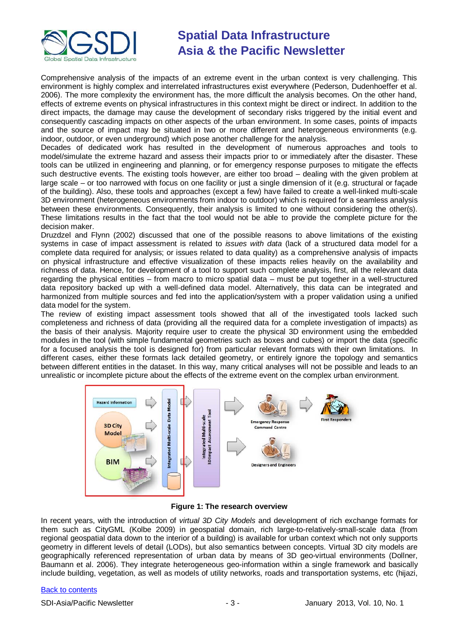

Comprehensive analysis of the impacts of an extreme event in the urban context is very challenging. This environment is highly complex and interrelated infrastructures exist everywhere (Pederson, Dudenhoeffer et al. 2006). The more complexity the environment has, the more difficult the analysis becomes. On the other hand, effects of extreme events on physical infrastructures in this context might be direct or indirect. In addition to the direct impacts, the damage may cause the development of secondary risks triggered by the initial event and consequently cascading impacts on other aspects of the urban environment. In some cases, points of impacts and the source of impact may be situated in two or more different and heterogeneous environments (e.g. indoor, outdoor, or even underground) which pose another challenge for the analysis.

Decades of dedicated work has resulted in the development of numerous approaches and tools to model/simulate the extreme hazard and assess their impacts prior to or immediately after the disaster. These tools can be utilized in engineering and planning, or for emergency response purposes to mitigate the effects such destructive events. The existing tools however, are either too broad – dealing with the given problem at large scale – or too narrowed with focus on one facility or just a single dimension of it (e.g. structural or façade of the building). Also, these tools and approaches (except a few) have failed to create a well-linked multi-scale 3D environment (heterogeneous environments from indoor to outdoor) which is required for a seamless analysis between these environments. Consequently, their analysis is limited to one without considering the other(s). These limitations results in the fact that the tool would not be able to provide the complete picture for the decision maker.

Druzdzel and Flynn (2002) discussed that one of the possible reasons to above limitations of the existing systems in case of impact assessment is related to *issues with data* (lack of a structured data model for a complete data required for analysis; or issues related to data quality) as a comprehensive analysis of impacts on physical infrastructure and effective visualization of these impacts relies heavily on the availability and richness of data. Hence, for development of a tool to support such complete analysis, first, all the relevant data regarding the physical entities – from macro to micro spatial data – must be put together in a well-structured data repository backed up with a well-defined data model. Alternatively, this data can be integrated and harmonized from multiple sources and fed into the application/system with a proper validation using a unified data model for the system.

The review of existing impact assessment tools showed that all of the investigated tools lacked such completeness and richness of data (providing all the required data for a complete investigation of impacts) as the basis of their analysis. Majority require user to create the physical 3D environment using the embedded modules in the tool (with simple fundamental geometries such as boxes and cubes) or import the data (specific for a focused analysis the tool is designed for) from particular relevant formats with their own limitations. In different cases, either these formats lack detailed geometry, or entirely ignore the topology and semantics between different entities in the dataset. In this way, many critical analyses will not be possible and leads to an unrealistic or incomplete picture about the effects of the extreme event on the complex urban environment.



#### **Figure 1: The research overview**

In recent years, with the introduction of *virtual 3D City Models* and development of rich exchange formats for them such as CityGML (Kolbe 2009) in geospatial domain, rich large-to-relatively-small-scale data (from regional geospatial data down to the interior of a building) is available for urban context which not only supports geometry in different levels of detail (LODs), but also semantics between concepts. Virtual 3D city models are geographically referenced representation of urban data by means of 3D geo-virtual environments (Dollner, Baumann et al. 2006). They integrate heterogeneous geo-information within a single framework and basically include building, vegetation, as well as models of utility networks, roads and transportation systems, etc (hijazi,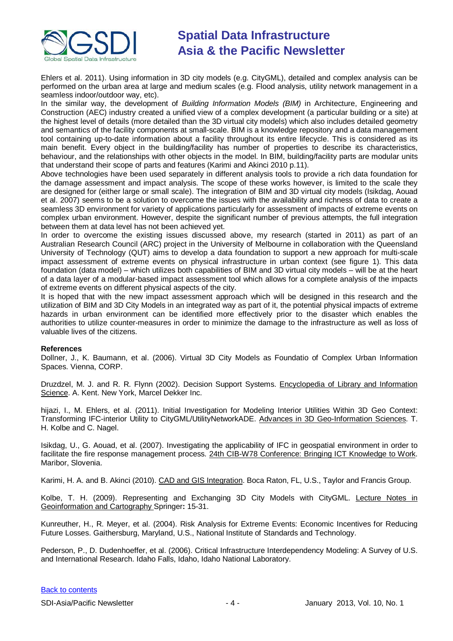

Ehlers et al. 2011). Using information in 3D city models (e.g. CityGML), detailed and complex analysis can be performed on the urban area at large and medium scales (e.g. Flood analysis, utility network management in a seamless indoor/outdoor way, etc).

In the similar way, the development of *Building Information Models (BIM)* in Architecture, Engineering and Construction (AEC) industry created a unified view of a complex development (a particular building or a site) at the highest level of details (more detailed than the 3D virtual city models) which also includes detailed geometry and semantics of the facility components at small-scale. BIM is a knowledge repository and a data management tool containing up-to-date information about a facility throughout its entire lifecycle. This is considered as its main benefit. Every object in the building/facility has number of properties to describe its characteristics, behaviour, and the relationships with other objects in the model. In BIM, building/facility parts are modular units that understand their scope of parts and features (Karimi and Akinci 2010 p.11).

Above technologies have been used separately in different analysis tools to provide a rich data foundation for the damage assessment and impact analysis. The scope of these works however, is limited to the scale they are designed for (either large or small scale). The integration of BIM and 3D virtual city models (Isikdag, Aouad et al. 2007) seems to be a solution to overcome the issues with the availability and richness of data to create a seamless 3D environment for variety of applications particularly for assessment of impacts of extreme events on complex urban environment. However, despite the significant number of previous attempts, the full integration between them at data level has not been achieved yet.

In order to overcome the existing issues discussed above, my research (started in 2011) as part of an Australian Research Council (ARC) project in the University of Melbourne in collaboration with the Queensland University of Technology (QUT) aims to develop a data foundation to support a new approach for multi-scale impact assessment of extreme events on physical infrastructure in urban context (see figure 1). This data foundation (data model) – which utilizes both capabilities of BIM and 3D virtual city models – will be at the heart of a data layer of a modular-based impact assessment tool which allows for a complete analysis of the impacts of extreme events on different physical aspects of the city.

It is hoped that with the new impact assessment approach which will be designed in this research and the utilization of BIM and 3D City Models in an integrated way as part of it, the potential physical impacts of extreme hazards in urban environment can be identified more effectively prior to the disaster which enables the authorities to utilize counter-measures in order to minimize the damage to the infrastructure as well as loss of valuable lives of the citizens.

#### **References**

Dollner, J., K. Baumann, et al. (2006). Virtual 3D City Models as Foundatio of Complex Urban Information Spaces. Vienna, CORP.

Druzdzel, M. J. and R. R. Flynn (2002). Decision Support Systems. Encyclopedia of Library and Information Science. A. Kent. New York, Marcel Dekker Inc.

hijazi, I., M. Ehlers, et al. (2011). Initial Investigation for Modeling Interior Utilities Within 3D Geo Context: Transforming IFC-interior Utility to CityGML/UtilityNetworkADE. Advances in 3D Geo-Information Sciences. T. H. Kolbe and C. Nagel.

Isikdag, U., G. Aouad, et al. (2007). Investigating the applicability of IFC in geospatial environment in order to facilitate the fire response management process. 24th CIB-W78 Conference: Bringing ICT Knowledge to Work. Maribor, Slovenia.

Karimi, H. A. and B. Akinci (2010). CAD and GIS Integration. Boca Raton, FL, U.S., Taylor and Francis Group.

Kolbe, T. H. (2009). Representing and Exchanging 3D City Models with CityGML. Lecture Notes in Geoinformation and Cartography Springer**:** 15-31.

Kunreuther, H., R. Meyer, et al. (2004). Risk Analysis for Extreme Events: Economic Incentives for Reducing Future Losses. Gaithersburg, Maryland, U.S., National Institute of Standards and Technology.

Pederson, P., D. Dudenhoeffer, et al. (2006). Critical Infrastructure Interdependency Modeling: A Survey of U.S. and International Research. Idaho Falls, Idaho, Idaho National Laboratory.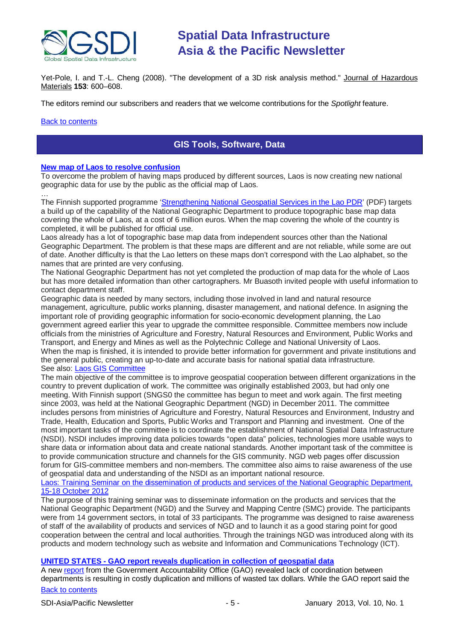

Yet-Pole, I. and T.-L. Cheng (2008). "The development of a 3D risk analysis method." Journal of Hazardous Materials **153**: 600–608.

The editors remind our subscribers and readers that we welcome contributions for the *Spotlight* feature.

### <span id="page-4-0"></span>[Back to contents](#page-0-0)

# **GIS Tools, Software, Data**

# **[New map of Laos to resolve confusion](http://laovoices.com/new-map-of-laos-to-resolve-confusion/)**

To overcome the problem of having maps produced by different sources, Laos is now creating new national geographic data for use by the public as the official map of Laos.

… The Finnish supported programme ['Strengthening National Geospatial Services in the Lao PDR'](http://www.finnmap.com/ATA%20Programme.pdf) (PDF) targets a build up of the capability of the National Geographic Department to produce topographic base map data covering the whole of Laos, at a cost of 6 million euros. When the map covering the whole of the country is completed, it will be published for official use.

Laos already has a lot of topographic base map data from independent sources other than the National Geographic Department. The problem is that these maps are different and are not reliable, while some are out of date. Another difficulty is that the Lao letters on these maps don't correspond with the Lao alphabet, so the names that are printed are very confusing.

The National Geographic Department has not yet completed the production of map data for the whole of Laos but has more detailed information than other cartographers. Mr Buasoth invited people with useful information to contact department staff.

Geographic data is needed by many sectors, including those involved in land and natural resource management, agriculture, public works planning, disaster management, and national defence. In asigning the important role of providing geographic information for socio-economic development planning, the Lao government agreed earlier this year to upgrade the committee responsible. Committee members now include officials from the ministries of Agriculture and Forestry, Natural Resources and Environment, Public Works and Transport, and Energy and Mines as well as the Polytechnic College and National University of Laos. When the map is finished, it is intended to provide better information for government and private institutions and the general public, creating an up-to-date and accurate basis for national spatial data infrastructure. See also: [Laos GIS Committee](http://www.ngdlaos.la/2012/02/15/gis-committee-2/)

The main objective of the committee is to improve geospatial cooperation between different organizations in the country to prevent duplication of work. The committee was originally established 2003, but had only one meeting. With Finnish support (SNGS0 the committee has begun to meet and work again. The first meeting since 2003, was held at the National Geographic Department (NGD) in December 2011. The committee includes persons from ministries of Agriculture and Forestry, Natural Resources and Environment, Industry and Trade, Health, Education and Sports, Public Works and Transport and Planning and investment. One of the most important tasks of the committee is to coordinate the establishment of National Spatial Data Infrastructure (NSDI). NSDI includes improving data policies towards "open data" policies, technologies more usable ways to share data or information about data and create national standards. Another important task of the committee is to provide communication structure and channels for the GIS community. NGD web pages offer discussion forum for GIS-committee members and non-members. The committee also aims to raise awareness of the use of geospatial data and understanding of the NSDI as an important national resource.

[Laos: Training Seminar on the dissemination of products and services of the National Geographic Department,](http://www.ngdlaos.la/2012/10/17/%e0%ba%9d%e0%ba%b6%e0%ba%81%e0%ba%ad%e0%ba%bb%e0%ba%9a%e0%ba%ae%e0%ba%bb%e0%ba%a1%e0%ba%aa%e0%ba%b3%e0%ba%a1%e0%ba%b0%e0%ba%99%e0%ba%b2%e0%bb%80%e0%ba%9c%e0%ba%b5%e0%ba%8d%e0%bb%81%e0%ba%9c%e0%bb%88/)  [15-18 October 2012](http://www.ngdlaos.la/2012/10/17/%e0%ba%9d%e0%ba%b6%e0%ba%81%e0%ba%ad%e0%ba%bb%e0%ba%9a%e0%ba%ae%e0%ba%bb%e0%ba%a1%e0%ba%aa%e0%ba%b3%e0%ba%a1%e0%ba%b0%e0%ba%99%e0%ba%b2%e0%bb%80%e0%ba%9c%e0%ba%b5%e0%ba%8d%e0%bb%81%e0%ba%9c%e0%bb%88/)

The purpose of this training seminar was to disseminate information on the products and services that the National Geographic Department (NGD) and the Survey and Mapping Centre (SMC) provide. The participants were from 14 government sectors, in total of 33 participants. The programme was designed to raise awareness of staff of the availability of products and services of NGD and to launch it as a good staring point for good cooperation between the central and local authorities. Through the trainings NGD was introduced along with its products and modern technology such as website and Information and Communications Technology (ICT).

# **UNITED STATES - [GAO report reveals duplication in collection of geospatial data](http://www.geospatialworld.net/News/View.aspx?id=25933_Article)**

A new [report](http://gov.aol.com/2012/11/27/report-faults-governments-duplication-in-spending-for-geospatia/) from the Government Accountability Office (GAO) revealed lack of coordination between departments is resulting in costly duplication and millions of wasted tax dollars. While the GAO report said the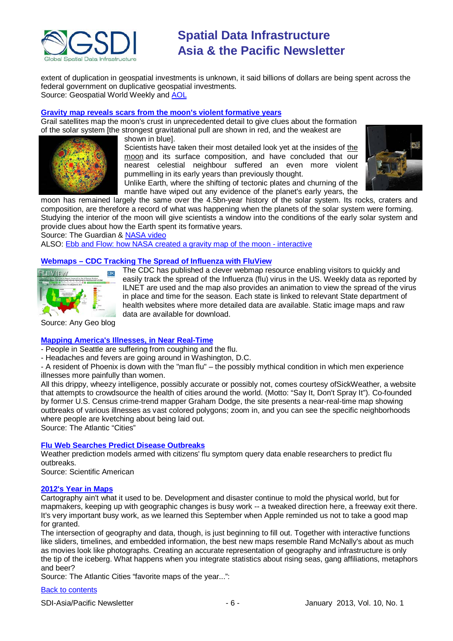

extent of duplication in geospatial investments is unknown, it said billions of dollars are being spent across the federal government on duplicative geospatial investments. Source: Geospatial World Weekly and **AOL** 

# **[Gravity map reveals scars from the moon's violent formative years](http://www.guardian.co.uk/science/2012/dec/06/gravity-map-moon-formative-years)**

shown in blue].

Grail satellites map the moon's crust in unprecedented detail to give clues about the formation of the solar system [the strongest gravitational pull are shown in red, and the weakest are

Scientists have taken their most detailed look yet at the insides of [the](http://www.guardian.co.uk/science/moon)  [moon](http://www.guardian.co.uk/science/moon) and its surface composition, and have concluded that our nearest celestial neighbour suffered an even more violent pummelling in its early years than previously thought.



Unlike Earth, where the shifting of tectonic plates and churning of the mantle have wiped out any evidence of the planet's early years, the

moon has remained largely the same over the 4.5bn-year history of the solar system. Its rocks, craters and composition, are therefore a record of what was happening when the planets of the solar system were forming. Studying the interior of the moon will give scientists a window into the conditions of the early solar system and provide clues about how the Earth spent its formative years.

Source: The Guardian & [NASA video](http://www.guardian.co.uk/science/video/2012/dec/06/nasa-grail-satellites-gravity-map-moon-video)

ALSO: [Ebb and Flow: how NASA created a gravity map of the moon -](http://www.guardian.co.uk/science/interactive/2012/dec/06/nasa-gravity-map-moon-interactive) interactive

### **Webmaps – [CDC Tracking The Spread of Influenza with FluView](http://blog.gisuser.com/2012/12/07/webmaps-cdc-tracking-the-spread-of-influenza-with-fluview/)**



The CDC has published a clever webmap resource enabling visitors to quickly and easily track the spread of the Influenza (flu) virus in the US. Weekly data as reported by ILNET are used and the map also provides an animation to view the spread of the virus in place and time for the season. Each state is linked to relevant State department of health websites where more detailed data are available. Static image maps and raw data are available for download.

Source: Any Geo blog

## **[Mapping America's Illnesses, in Near Real-Time](http://www.theatlanticcities.com/technology/2012/02/mapping-americas-sickness-near-real-time/1201/)**

- People in Seattle are suffering from coughing and the flu.

- Headaches and fevers are going around in Washington, D.C.

- A resident of Phoenix is down with the ["man flu"](http://abcnews.go.com/print?id=6123369) – the possibly mythical condition in which men experience illnesses more painfully than women.

All this drippy, wheezy intelligence, possibly accurate or possibly not, comes courtesy o[fSickWeather,](http://www.sickweather.com/) a website that attempts to crowdsource the health of cities around the world. (Motto: "Say It, Don't Spray It"). Co-founded by former U.S. Census crime-trend mapper Graham Dodge, the site presents a [near-real-time map](http://www.sickweather.com/large_map.php) showing outbreaks of [various illnesses](http://www.theatlanticcities.com/topics/disease/) as vast colored polygons; zoom in, and you can see the specific neighborhoods where people are kvetching about being laid out.

Source: The Atlantic "Cities"

# **[Flu Web Searches Predict Disease Outbreaks](http://www.scientificamerican.com/podcast/episode.cfm?id=flu-web-searches-predict-disease-ou-12-12-11&WT.mc_id=SA_WR_20121212)**

Weather prediction models armed with citizens' flu symptom query data enable researchers to predict flu outbreaks.

Source: Scientific American

#### **[2012's Year in Maps](http://www.theatlanticcities.com/design/2012/12/2012s-year-maps/4196/)**

Cartography ain't what it used to be. Development and disaster continue to mold the physical world, but for mapmakers, keeping up with geographic changes is busy work -- a tweaked direction here, a freeway exit there. It's very important busy work, as we learned this September when Apple reminded us not to take a good map for granted.

The intersection of geography and data, though, is just beginning to fill out. Together with interactive functions like sliders, timelines, and embedded information, the best new maps resemble Rand McNally's about as much as movies look like photographs. Creating an accurate representation of geography and infrastructure is only the tip of the iceberg. What happens when you integrate statistics about rising seas, gang affiliations, metaphors and beer?

Source: The Atlantic Cities "favorite maps of the year...":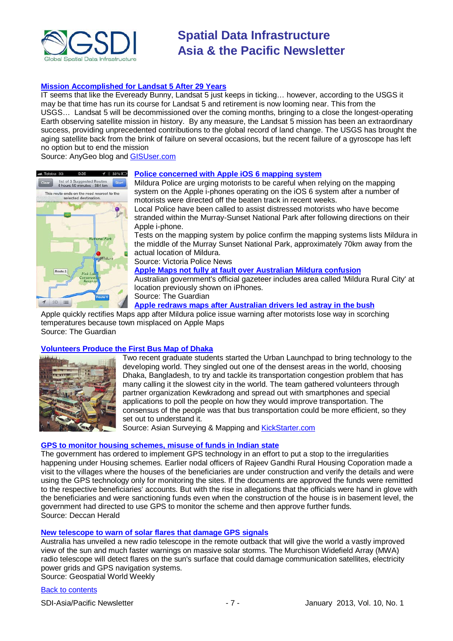

## **[Mission Accomplished for Landsat 5 After 29 Years](http://blog.gisuser.com/2012/12/27/usgs-comments-mission-accomplished-for-landsat-5-after-29-years/)**

IT seems that like the Eveready Bunny, Landsat 5 just keeps in ticking… however, according to the USGS it may be that time has run its course for Landsat 5 and retirement is now looming near. This from the USGS… Landsat 5 will be decommissioned over the coming months, bringing to a close the longest-operating Earth observing satellite mission in history. By any measure, the Landsat 5 mission has been an extraordinary success, providing unprecedented contributions to the global record of land change. The USGS has brought the aging satellite back from the brink of failure on several occasions, but the recent failure of a gyroscope has left no option but to end the mission

Source: AnyGeo blog and [GISUser.com](http://www.gisuser.com/content/view/28642/2/)



### **[Police concerned with Apple iOS 6 mapping system](http://www.vicpolicenews.com.au/more-news/11081-police-concerned-with-apple-ios-6-mapping-system.html)**

Mildura Police are urging motorists to be careful when relying on the mapping system on the Apple i-phones operating on the iOS 6 system after a number of motorists were directed off the beaten track in recent weeks.

Local Police have been called to assist distressed motorists who have become stranded within the Murray-Sunset National Park after following directions on their Apple i-phone.

Tests on the mapping system by police confirm the mapping systems lists Mildura in the middle of the Murray Sunset National Park, approximately 70km away from the actual location of Mildura.

Source: Victoria Police News

## **[Apple Maps not fully at fault over Australian Mildura confusion](http://www.guardian.co.uk/technology/2012/dec/11/apple-maps-fault-mildura-australia-confusion?INTCMP=SRCH)**

Australian government's official gazeteer includes area called 'Mildura Rural City' at location previously shown on iPhones.

Source: The Guardian

**[Apple redraws maps after Australian drivers led astray in the](http://www.guardian.co.uk/technology/2012/dec/10/apple-maps-life-threatening-australian-police?intcmp=239) bush**

Apple quickly rectifies Maps app after Mildura police issue warning after motorists lose way in scorching temperatures because town misplaced on Apple Maps Source: The Guardian

# **[Volunteers Produce the First Bus Map of Dhaka](http://www.asmmag.com/201212204598/volunteers-produce-the-first-bus-map-of-dhaka.html)**



Two recent graduate students started the Urban Launchpad to bring technology to the developing world. They singled out one of the densest areas in the world, choosing Dhaka, Bangladesh, to try and tackle its transportation congestion problem that has many calling it the slowest city in the world. The team gathered volunteers through partner organization Kewkradong and spread out with smartphones and special applications to poll the people on how they would improve transportation. The consensus of the people was that bus transportation could be more efficient, so they set out to understand it.

Source: Asian Surveying & Mapping an[d KickStarter.com](http://www.kickstarter.com/projects/urbanlaunchpad/first-bus-map-of-dhaka?ref=NewsDec2012&utm_campaign=Dec20&utm_medium=email&utm_source=newsletter)

#### **[GPS to monitor housing schemes, misuse of funds in Indian state](http://www.deccanherald.com/content/288977/gpsmonitor-housing-schemes-misuse.html)**

The government has ordered to implement GPS technology in an effort to put a stop to the irregularities happening under Housing schemes. Earlier nodal officers of Rajeev Gandhi Rural Housing Coporation made a visit to the villages where the houses of the beneficiaries are under construction and verify the details and were using the GPS technology only for monitoring the sites. If the documents are approved the funds were remitted to the respective beneficiaries' accounts. But with the rise in allegations that the officials were hand in glove with the beneficiaries and were sanctioning funds even when the construction of the house is in basement level, the government had directed to use GPS to monitor the scheme and then approve further funds. Source: Deccan Herald

#### **[New telescope to warn of solar flares that damage GPS signals](http://www.geospatialworld.net/News/View.aspx?id=26054_Article)**

Australia has unveiled a new radio telescope in the remote outback that will give the world a vastly improved view of the sun and much faster warnings on massive solar storms. The Murchison Widefield Array (MWA) radio telescope will detect flares on the sun's surface that could damage communication satellites, electricity power grids and GPS navigation systems. Source: Geospatial World Weekly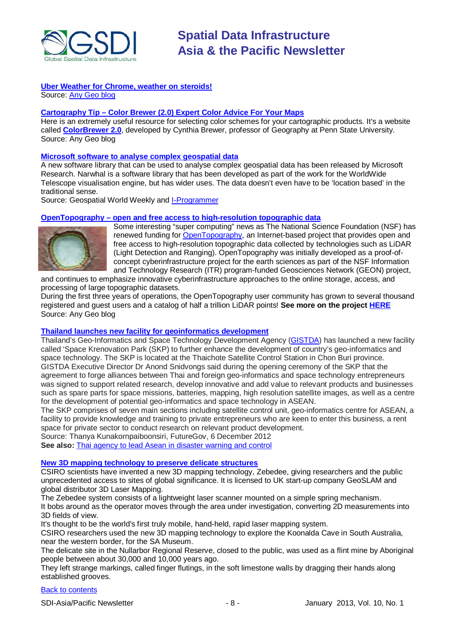

# **[Uber Weather for Chrome, weather on steroids!](http://uberweather.com/)**

Source: [Any Geo blog](http://blog.gisuser.com/2012/12/09/uber-weather-for-chrome-weather-on-steroids/)

# **Cartography Tip – [Color Brewer \(2.0\) Expert Color Advice For Your Maps](http://blog.gisuser.com/2012/11/26/cartography-tip-color-brewer-2-0-expert-color-advice-for-your-maps/)**

Here is an extremely useful resource for selecting color schemes for your cartographic products. It's a website called **[ColorBrewer 2.0](http://colorbrewer2.org/)**, developed by Cynthia Brewer, professor of Geography at Penn State University. Source: Any Geo blog

## **[Microsoft software to analyse complex geospatial data](http://www.geospatialworld.net/News/View.aspx?id=26033_Article)**

A new software library that can be used to analyse complex geospatial data has been released by Microsoft Research. Narwhal is a software library that has been developed as part of the work for the WorldWide Telescope visualisation engine, but has wider uses. The data doesn't even have to be 'location based' in the traditional sense.

Source: Geospatial World Weekly and [I-Programmer](http://www.i-programmer.info/news/145-mapping-a-gis/5204-narwhal-a-far-reaching-geospatial-data-library.html)

### **OpenTopography – [open and free access to high-resolution topographic data](http://blog.gisuser.com/2012/12/05/opentopography-open-and-free-access-to-high-res-topographic-data/)**



Some interesting "super computing" news as The National Science Foundation (NSF) has renewed funding for [OpenTopography,](http://www.opentopography.org/index.php) an Internet-based project that provides open and free access to high-resolution topographic data collected by technologies such as LiDAR (Light Detection and Ranging). OpenTopography was initially developed as a proof-ofconcept cyberinfrastructure project for the earth sciences as part of the NSF Information and Technology Research (ITR) program-funded Geosciences Network (GEON) project,

and continues to emphasize innovative cyberinfrastructure approaches to the online storage, access, and processing of large topographic datasets.

During the first three years of operations, the OpenTopography user community has grown to several thousand registered and guest users and a catalog of half a trillion LiDAR points! **See more on the project [HERE](http://www.amerisurv.com/content/view/10795/)** Source: Any Geo blog

# **[Thailand launches new facility for geoinformatics development](http://www.futuregov.asia/articles/2012/dec/06/thailand-launches-new-facility-geoinformatics-deve/)**

Thailand's Geo-Informatics and Space Technology Development Agency [\(GISTDA\)](http://www.gistda.or.th/) has launched a new facility called 'Space Krenovation Park (SKP) to further enhance the development of country's geo-informatics and space technology. The SKP is located at the Thaichote Satellite Control Station in Chon Buri province. GISTDA Executive Director Dr Anond Snidvongs said during the opening ceremony of the SKP that the agreement to forge alliances between Thai and foreign geo-informatics and space technology entrepreneurs was signed to support related research, develop innovative and add value to relevant products and businesses such as spare parts for space missions, batteries, mapping, high resolution satellite images, as well as a centre for the development of potential geo-informatics and space technology in ASEAN.

The SKP comprises of seven main sections including satellite control unit, geo-informatics centre for ASEAN, a facility to provide knowledge and training to private entrepreneurs who are keen to enter this business, a rent space for private sector to conduct research on relevant product development.

Source: Thanya Kunakornpaiboonsiri, FutureGov, 6 December 2012

**See also:** [Thai agency to lead Asean in disaster warning and control](http://www.nationmultimedia.com/national/Thai-agency-to-lead-Asean-in-disaster-warning-and--30183212.html)

#### **[New 3D mapping technology to preserve delicate structures](http://www.geospatialworld.net/News/View.aspx?id=26078_Article)**

CSIRO scientists have invented a new 3D mapping technology, Zebedee, giving researchers and the public unprecedented access to sites of global significance. It is licensed to UK start-up company GeoSLAM and global distributor 3D Laser Mapping.

The Zebedee system consists of a lightweight laser scanner mounted on a simple spring mechanism. It bobs around as the operator moves through the area under investigation, converting 2D measurements into 3D fields of view.

It's thought to be the world's first truly mobile, hand-held, rapid laser mapping system.

CSIRO researchers used the new 3D mapping technology to explore the Koonalda Cave in South Australia, near the western border, for the SA Museum.

The delicate site in the Nullarbor Regional Reserve, closed to the public, was used as a flint mine by Aboriginal people between about 30,000 and 10,000 years ago.

They left strange markings, called finger flutings, in the soft limestone walls by dragging their hands along established grooves.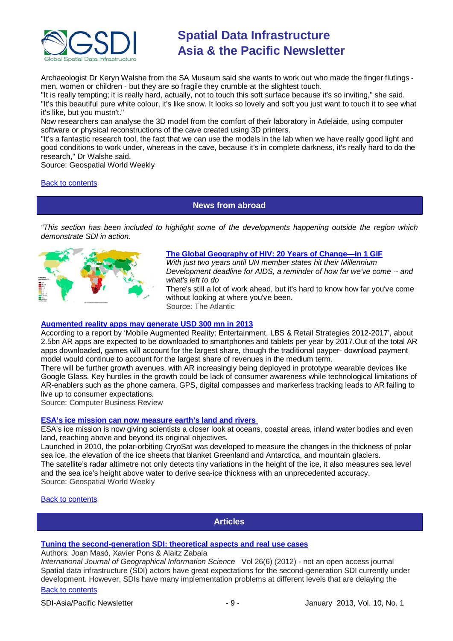

Archaeologist Dr Keryn Walshe from the SA Museum said she wants to work out who made the finger flutings men, women or children - but they are so fragile they crumble at the slightest touch.

"It is really tempting; it is really hard, actually, not to touch this soft surface because it's so inviting," she said. "It's this beautiful pure white colour, it's like snow. It looks so lovely and soft you just want to touch it to see what it's like, but you mustn't."

Now researchers can analyse the 3D model from the comfort of their laboratory in Adelaide, using computer software or physical reconstructions of the cave created using 3D printers.

"It's a fantastic research tool, the fact that we can use the models in the lab when we have really good light and good conditions to work under, whereas in the cave, because it's in complete darkness, it's really hard to do the research," Dr Walshe said.

Source: Geospatial World Weekly

### <span id="page-8-0"></span>[Back to contents](#page-0-0)

# **News from abroad**

*"This section has been included to highlight some of the developments happening outside the region which demonstrate SDI in action.*



# **[The Global Geography of HIV: 20 Years of Change—in 1 GIF](http://www.theatlantic.com/international/archive/2012/11/the-global-geography-of-hiv-20-years-of-change-in-1-gif/265706/)**

*With just two years until UN member states hit their Millennium Development deadline for AIDS, a reminder of how far we've come -- and what's left to do*

There's still a lot of work ahead, but it's hard to know how far you've come without looking at where you've been. Source: The Atlantic

# **[Augmented reality apps may generate USD 300 mn in 2013](http://mobility.cbronline.com/news/augmented-reality-mobile-apps-to-generate-300m-revenue-in-2013-report-071112)**

According to a report by 'Mobile Augmented Reality: Entertainment, LBS & Retail Strategies 2012-2017', about 2.5bn AR apps are expected to be downloaded to smartphones and tablets per year by 2017.Out of the total AR apps downloaded, games will account for the largest share, though the traditional payper- download payment model would continue to account for the largest share of revenues in the medium term.

There will be further growth avenues, with AR increasingly being deployed in prototype wearable devices like Google Glass. Key hurdles in the growth could be lack of consumer awareness while technological limitations of AR-enablers such as the phone camera, GPS, digital compasses and markerless tracking leads to AR failing to live up to consumer expectations.

Source: Computer Business Review

## **[ESA's ice mission can now measure earth's land and rivers](http://www.geospatialworld.net/News/View.aspx?id=26069_Article)**

ESA's ice mission is now giving scientists a closer look at oceans, coastal areas, inland water bodies and even land, reaching above and beyond its original objectives.

Launched in 2010, the polar-orbiting CryoSat was developed to measure the changes in the thickness of polar sea ice, the elevation of the ice sheets that blanket Greenland and Antarctica, and mountain glaciers. The satellite's radar altimetre not only detects tiny variations in the height of the ice, it also measures sea level and the sea ice's height above water to derive sea-ice thickness with an unprecedented accuracy. Source: Geospatial World Weekly

#### <span id="page-8-1"></span>[Back to contents](#page-0-0)

**Articles**

# **[Tuning the second-generation SDI: theoretical aspects and real use cases](http://www.tandfonline.com/doi/abs/10.1080/13658816.2011.620570)**

Authors: Joan Masó, Xavier Pons & Alaitz Zabala

*International Journal of Geographical Information Science* Vol 26(6) (2012) - not an open access journal Spatial data infrastructure (SDI) actors have great expectations for the second-generation SDI currently under development. However, SDIs have many implementation problems at different levels that are delaying the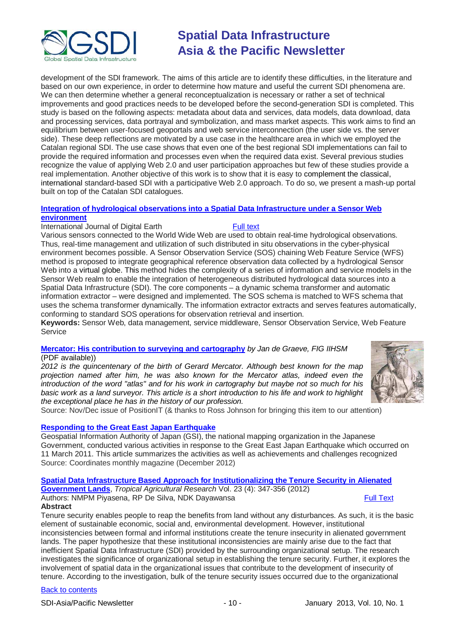

development of the SDI framework. The aims of this article are to identify these difficulties, in the literature and based on our own experience, in order to determine how mature and useful the current SDI phenomena are. We can then determine whether a general reconceptualization is necessary or rather a set of technical improvements and good practices needs to be developed before the second-generation SDI is completed. This study is based on the following aspects: metadata about data and services, data models, data download, data and processing services, data portrayal and symbolization, and mass market aspects. This work aims to find an equilibrium between user-focused geoportals and web service interconnection (the user side vs. the server side). These deep reflections are motivated by a use case in the healthcare area in which we employed the Catalan regional SDI. The use case shows that even one of the best regional SDI implementations can fail to provide the required information and processes even when the required data exist. Several previous studies recognize the value of applying Web 2.0 and user participation approaches but few of these studies provide a real implementation. Another objective of this work is to show that it is easy to complement the classical, international standard-based SDI with a participative Web 2.0 approach. To do so, we present a mash-up portal built on top of the Catalan SDI catalogues.

#### **[Integration of hydrological observations into a Spatial Data Infrastructure under a Sensor Web](http://www.tandfonline.com/doi/abs/10.1080/17538947.2012.743605)  [environment](http://www.tandfonline.com/doi/abs/10.1080/17538947.2012.743605)**

## International Journal of Digital Earth [Full text](http://www.tandfonline.com/doi/full/10.1080/17538947.2012.743605#tabModule)

Various sensors connected to the World Wide Web are used to obtain real-time hydrological observations. Thus, real-time management and utilization of such distributed in situ observations in the cyber-physical environment becomes possible. A Sensor Observation Service (SOS) chaining Web Feature Service (WFS) method is proposed to integrate geographical reference observation data collected by a hydrological Sensor Web into a virtual globe. This method hides the complexity of a series of information and service models in the Sensor Web realm to enable the integration of heterogeneous distributed hydrological data sources into a Spatial Data Infrastructure (SDI). The core components – a dynamic schema transformer and automatic information extractor – were designed and implemented. The SOS schema is matched to WFS schema that uses the schema transformer dynamically. The information extractor extracts and serves features automatically, conforming to standard SOS operations for observation retrieval and insertion.

**Keywords:** Sensor Web, data management, service middleware, Sensor Observation Service, Web Feature **Service** 

# **[Mercator: His contribution to surveying and cartography](http://eepublishers.co.za/article/international-federation-of-surveyors-353.html)** *by Jan de Graeve, FIG IIHSM* (PDF available))

*2012 is the quincentenary of the birth of Gerard Mercator. Although best known for the map projection named after him, he was also known for the Mercator atlas, indeed even the introduction of the word "atlas" and for his work in cartography but maybe not so much for his basic work as a land surveyor. This article is a short introduction to his life and work to highlight the exceptional place he has in the history of our profession.*

Source: Nov/Dec issue of PositionIT (& thanks to Ross Johnson for bringing this item to our attention)

### **[Responding to the Great East Japan Earthquake](http://mycoordinates.org/responding-to-the-great-east-japan-earthquake/)**

Geospatial Information Authority of Japan (GSI), the national mapping organization in the Japanese Government, conducted various activities in response to the Great East Japan Earthquake which occurred on 11 March 2011. This article summarizes the activities as well as achievements and challenges recognized Source: Coordinates monthly magazine (December 2012)

# **[Spatial Data Infrastructure Based Approach for Institutionalizing the Tenure Security in Alienated](http://www.sljol.info/index.php/TAR/article/view/4870)**

**[Government Lands](http://www.sljol.info/index.php/TAR/article/view/4870)**, *Tropical Agricultural Research* Vol. 23 (4): 347-356 (2012) Authors: NMPM Piyasena, RP De Silva, NDK Dayawansa [Full Text](http://www.sljol.info/index.php/TAR/article/viewFile/4870/3901) Full Text **Abstract**

Tenure security enables people to reap the benefits from land without any disturbances. As such, it is the basic element of sustainable economic, social and, environmental development. However, institutional inconsistencies between formal and informal institutions create the tenure insecurity in alienated government lands. The paper hypothesize that these institutional inconsistencies are mainly arise due to the fact that inefficient Spatial Data Infrastructure (SDI) provided by the surrounding organizational setup. The research investigates the significance of organizational setup in establishing the tenure security. Further, it explores the involvement of spatial data in the organizational issues that contribute to the development of insecurity of tenure. According to the investigation, bulk of the tenure security issues occurred due to the organizational





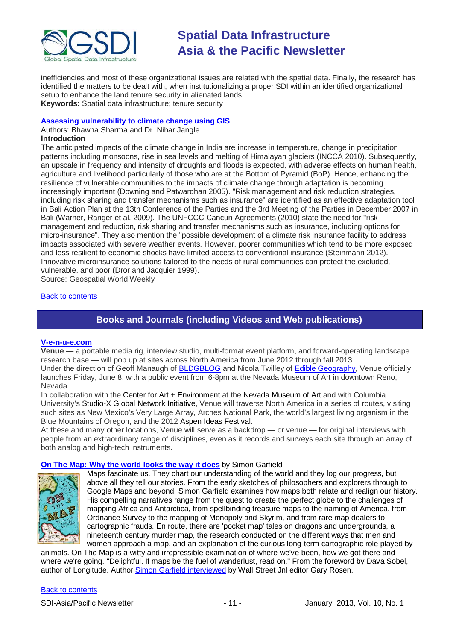

inefficiencies and most of these organizational issues are related with the spatial data. Finally, the research has identified the matters to be dealt with, when institutionalizing a proper SDI within an identified organizational setup to enhance the land tenure security in alienated lands. **Keywords:** Spatial data infrastructure; tenure security

### **[Assessing vulnerability to climate change using GIS](http://www.geospatialworld.net/Paper/Application/ArticleView.aspx?aid=30395)**

Authors: Bhawna Sharma and Dr. Nihar Jangle

#### **Introduction**

The anticipated impacts of the climate change in India are increase in temperature, change in precipitation patterns including monsoons, rise in sea levels and melting of Himalayan glaciers (INCCA 2010). Subsequently, an upscale in frequency and intensity of droughts and floods is expected, with adverse effects on human health, agriculture and livelihood particularly of those who are at the Bottom of Pyramid (BoP). Hence, enhancing the resilience of vulnerable communities to the impacts of climate change through adaptation is becoming increasingly important (Downing and Patwardhan 2005). "Risk management and risk reduction strategies, including risk sharing and transfer mechanisms such as insurance" are identified as an effective adaptation tool in Bali Action Plan at the 13th Conference of the Parties and the 3rd Meeting of the Parties in December 2007 in Bali (Warner, Ranger et al. 2009). The UNFCCC Cancun Agreements (2010) state the need for "risk management and reduction, risk sharing and transfer mechanisms such as insurance, including options for micro-insurance". They also mention the "possible development of a climate risk insurance facility to address impacts associated with severe weather events. However, poorer communities which tend to be more exposed and less resilient to economic shocks have limited access to conventional insurance (Steinmann 2012). Innovative microinsurance solutions tailored to the needs of rural communities can protect the excluded, vulnerable, and poor (Dror and Jacquier 1999).

Source: Geospatial World Weekly

### <span id="page-10-0"></span>[Back to contents](#page-0-0)

# **Books and Journals (including Videos and Web publications)**

#### **[V-e-n-u-e.com](http://v-e-n-u-e.com/About)**

**Venue** — a portable media rig, interview studio, multi-format event platform, and forward-operating landscape research base — will pop up at sites across North America from June 2012 through fall 2013. Under the direction of Geoff Manaugh of [BLDGBLOG](http://bldgblog.blogspot.com/) and Nicola Twilley of [Edible Geography,](http://www.ediblegeography.com/) Venue officially launches Friday, June 8, with a public event from 6-8pm at the Nevada Museum of Art in downtown Reno, Nevada.

In collaboration with the Center for Art + Environment at the Nevada Museum of Art and with Columbia University's Studio-X Global Network Initiative, Venue will traverse North America in a series of routes, visiting such sites as New Mexico's Very Large Array, Arches National Park, the world's largest living organism in the Blue Mountains of Oregon, and the 2012 Aspen Ideas Festival.

At these and many other locations, Venue will serve as a backdrop — or venue — for original interviews with people from an extraordinary range of disciplines, even as it records and surveys each site through an array of both analog and high-tech instruments.

#### **[On The Map: Why the world looks the way it does](http://www.amazon.co.uk/Map-Why-world-looks-does/dp/1846685095/ref=sr_1_1?s=books&ie=UTF8&qid=1356302647&sr=1-1)** by Simon Garfield



Maps fascinate us. They chart our understanding of the world and they log our progress, but above all they tell our stories. From the early sketches of philosophers and explorers through to Google Maps and beyond, Simon Garfield examines how maps both relate and realign our history. His compelling narratives range from the quest to create the perfect globe to the challenges of mapping Africa and Antarctica, from spellbinding treasure maps to the naming of America, from Ordnance Survey to the mapping of Monopoly and Skyrim, and from rare map dealers to cartographic frauds. En route, there are 'pocket map' tales on dragons and undergrounds, a nineteenth century murder map, the research conducted on the different ways that men and women approach a map, and an explanation of the curious long-term cartographic role played by

animals. On The Map is a witty and irrepressible examination of where we've been, how we got there and where we're going. "Delightful. If maps be the fuel of wanderlust, read on." From the foreword by Dava Sobel, author of Longitude. Author [Simon Garfield interviewed](http://online.wsj.com/article/SB10001424127887324461604578191471150162626.html?mod=WSJASIA_hpp_MIDDLESecondNews#project%3DSLIDESHOW08%26s%3DSB10001424127887323277504578191792854140524%26articleTabs%3Dvideo) by Wall Street Jnl editor Gary Rosen.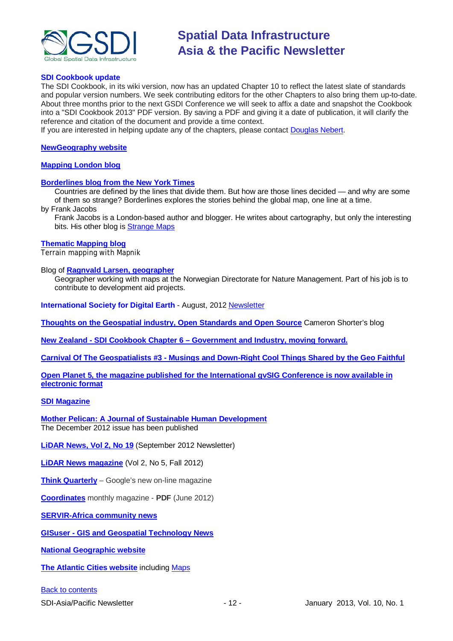

#### **SDI Cookbook update**

The SDI Cookbook, in its wiki version, now has an updated Chapter 10 to reflect the latest slate of standards and popular version numbers. We seek contributing editors for the other Chapters to also bring them up-to-date. About three months prior to the next GSDI Conference we will seek to affix a date and snapshot the Cookbook into a "SDI Cookbook 2013" PDF version. By saving a PDF and giving it a date of publication, it will clarify the reference and citation of the document and provide a time context.

If you are interested in helping update any of the chapters, please contact [Douglas Nebert.](mailto:ddnebert@usgs.gov)

### **[NewGeography website](http://www.newgeography.com/)**

# **[Mapping London blog](http://mappinglondon.co.uk/)**

#### **[Borderlines blog from the New York Times](http://opinionator.blogs.nytimes.com/category/borderlines/)**

Countries are defined by the lines that divide them. But how are those lines decided — and why are some of them so strange? Borderlines explores the stories behind the global map, one line at a time.

by Frank Jacobs

Frank Jacobs is a London-based author and blogger. He writes about cartography, but only the interesting bits. His other blog is [Strange Maps](http://bigthink.com/blogs/strange-maps)

#### **[Thematic Mapping blog](http://blog.thematicmapping.org/)**

Terrain mapping with Mapnik

#### Blog of **[Ragnvald Larsen, geographer](http://www.mindland.com/wp/)**

Geographer working with maps at the Norwegian Directorate for Nature Management. Part of his job is to contribute to development aid projects.

**International Society for Digital Earth - August, 2012 [Newsletter](http://www.digitalearth-isde.org/news/isde-newsletter(201208).html)** 

**[Thoughts on the Geospatial industry, Open Standards and Open Source](http://cameronshorter.blogspot.com/2011/06/memoirs-of-cat-herder-coordinating.html)** Cameron Shorter's blog

**New Zealand - SDI Cookbook Chapter 6 – [Government and Industry, moving forward.](http://www.geospatial.govt.nz/sdi-cookbook-chapter-6-government-and-industry-moving-forward)**

**Carnival Of The Geospatialists #3 - [Musings and Down-Right Cool Things Shared by the Geo Faithful](http://www.gisuser.com/content/view/25690/28/)**

**[Open Planet 5, the magazine published for the International gvSIG Conference is now available in](http://jornadas.gvsig.org/descargas/magazine)  [electronic format](http://jornadas.gvsig.org/descargas/magazine)**

#### **[SDI Magazine](http://www.sdimag.com/)**

**[Mother Pelican: A Journal of Sustainable Human Development](http://www.pelicanweb.org/solisustv08n12page1.html)** The December 2012 issue has been published

**[LiDAR News, Vol 2, No 19](http://www.lidarnews.com/newsletter/Vol2No19.htm)** (September 2012 Newsletter)

**[LiDAR News magazine](http://lidarnews.com/emag/2012/vol2no5/index.html)** (Vol 2, No 5, Fall 2012)

**[Think Quarterly](http://thinkquarterly.co.uk/#aboutthebook)** – Google's new on-line magazine

**[Coordinates](http://mycoordinates.org/pdf/jun12.pdf)** monthly magazine - **PDF** (June 2012)

**[SERVIR-Africa community news](http://www.servirglobal.net/africa/en/News/CommunityNews.aspx)**

**GISuser - [GIS and Geospatial Technology News](http://www.gisuser.com/)**

**[National Geographic website](http://www.nationalgeographic.com/)**

**[The Atlantic Cities website](http://www.theatlanticcities.com/)** including [Maps](http://www.theatlanticcities.com/posts/map/)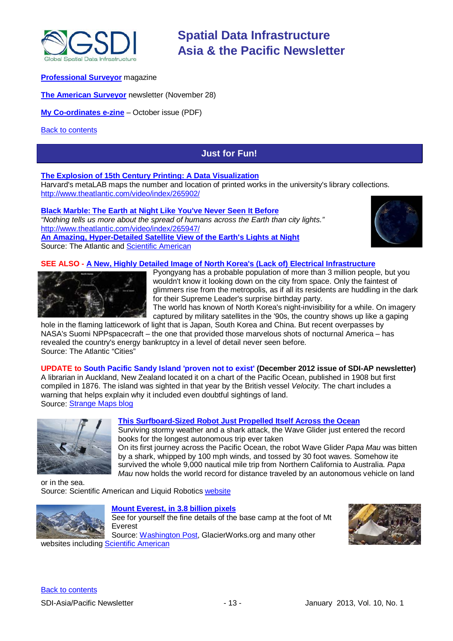

# **[Professional Surveyor](http://www.profsurv.com/)** magazine

**[The American Surveyor](http://www.amerisurv.com/newsletter/28NOV2012.htm)** newsletter (November 28)

**[My Co-ordinates e-zine](http://mycoordinates.org/pdf/oct12.pdf)** – October issue (PDF)

### <span id="page-12-0"></span>[Back to contents](#page-0-0)

# **Just for Fun!**

# **[The Explosion of 15th Century Printing: A Data Visualization](http://www.theatlantic.com/video/archive/2012/12/the-explosion-of-15th-century-printing-a-data-visualization/265902/)**

[Harvard's metaLAB maps the number and location of printed works in the university's library collections.](http://www.theatlantic.com/video/index/265902/) <http://www.theatlantic.com/video/index/265902/>

# **[Black Marble: The Earth at Night Like You've Never Seen It Before](http://www.theatlantic.com/video/archive/2012/12/black-marble/265947/)**

*"Nothing tells us more about the spread of humans across the Earth than city lights."* <http://www.theatlantic.com/video/index/265947/> **[An Amazing, Hyper-Detailed Satellite View of the Earth's Lights at Night](http://www.theatlantic.com/video/archive/2012/12/an-amazing-hyper-detailed-view-of-the-earth-at-night/265974/)**  Source: The Atlantic and [Scientific American](http://www.scientificamerican.com/gallery_directory.cfm?photo_id=3C6E805D-EFD9-11DC-02173DB7C17CF9AB&WT.mc_id=SA_WR_20121212)



#### **SEE ALSO - [A New, Highly Detailed Image of North Korea's \(Lack of\) Electrical Infrastructure](http://www.theatlanticcities.com/technology/2012/12/new-highly-detailed-image-north-koreas-lack-electrical-infrastructure/4201/)**



Pyongyang has a probable population of more than 3 million people, but you wouldn't know it looking down on the city from space. Only the faintest of glimmers rise from the metropolis, as if all its residents are huddling in the dark for their [Supreme Leader's](http://kimjongunlookingatthings.tumblr.com/) surprise birthday party.

The world has known of North Korea's night-invisibility for a while. On imagery captured by military satellites in the '90s, the country shows up like a gaping

hole in the flaming latticework of light that is Japan, South Korea and China. But recent overpasses by NASA's Suomi NPPspacecraft – the one that provided those marvelous shots of [nocturnal America](http://www.theatlanticcities.com/technology/2012/12/never-seen-satellite-view-earths-cities-night/4085/) – has revealed the country's energy bankruptcy in a level of detail never seen before. Source: The Atlantic "Cities"

# **UPDATE to South Pacific Sandy Island 'proven not to exist' (December 2012 issue of SDI-AP newsletter)**

A librarian in Auckland, New Zealand located it on a chart of the Pacific Ocean, published in 1908 but first compiled in 1876. The island was sighted in that year by the British vessel *Velocity.* The chart includes a warning that helps explain why it included even doubtful sightings of land. Source: [Strange Maps blog](http://bigthink.com/strange-maps/588-no-land-ho-sandy-island-and-the-age-of-un-discovery)



# **[This Surfboard-Sized Robot Just Propelled Itself Across the Ocean](http://www.scientificamerican.com/article.cfm?id=this-surfboard-sized-robot-just-pro-2012-12&WT.mc_id=SA_CAT_physics_20121207)**

Surviving stormy weather and a shark attack, the Wave Glider just entered the record books for the longest autonomous trip ever taken

On its first journey across the Pacific Ocean, the robot Wave Glider *Papa Mau* was bitten by a shark, whipped by 100 mph winds, and tossed by 30 foot waves. Somehow ite survived the whole 9,000 nautical mile trip from Northern California to Australia. *Papa Mau* now holds the world record for distance traveled by an autonomous vehicle on land

or in the sea. Source: Scientific American and Liquid Robotics [website](http://liquidr.com/pacx/pacific-crossing.html)



### **[Mount Everest, in 3.8 billion pixels](https://s3.amazonaws.com/Gigapans/EBC_Pumori_050112_8bit_FLAT/EBC_Pumori_050112_8bit_FLAT.html)**

See for yourself the fine details of the base camp at the foot of Mt Everest Source: [Washington Post,](http://www.washingtonpost.com/blogs/worldviews/wp/2012/12/18/photo-mount-everest-in-two-billion-pixels/) GlacierWorks.org and many other

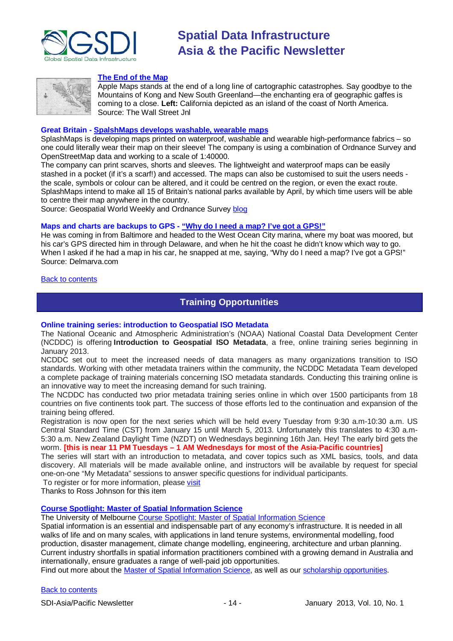

#### **[The End of the Map](http://online.wsj.com/article/SB10001424127887324461604578191471150162626.html?mod=WSJASIA_hpp_MIDDLESecondNews)**

|  | ÷ |    |
|--|---|----|
|  |   | 18 |
|  |   |    |
|  |   |    |

Apple Maps stands at the end of a long line of cartographic catastrophes. Say goodbye to the Mountains of Kong and New South Greenland—the enchanting era of geographic gaffes is coming to a close. **Left:** California depicted as an island of the coast of North America. Source: The Wall Street Jnl

### **Great Britain - [SpalshMaps develops washable, wearable maps](http://www.geospatialworld.net/News/View.aspx?id=26043_Article)**

SplashMaps is developing maps printed on waterproof, washable and wearable high-performance fabrics – so one could literally wear their map on their sleeve! The company is using a combination of Ordnance Survey and OpenStreetMap data and working to a scale of 1:40000.

The company can print scarves, shorts and sleeves. The lightweight and waterproof maps can be easily stashed in a pocket (if it's a scarf!) and accessed. The maps can also be customised to suit the users needs the scale, symbols or colour can be altered, and it could be centred on the region, or even the exact route. SplashMaps intend to make all 15 of Britain's national parks available by April, by which time users will be able to centre their map anywhere in the country.

Source: Geospatial World Weekly and Ordnance Survey [blog](http://blog.ordnancesurvey.co.uk/2012/12/wearing-your-map-on-your-sleeve/)

#### **Maps and charts are backups to GPS - ["Why do I need a map? I've got a GPS!"](http://www.delmarvanow.com/apps/pbcs.dll/article?AID=/20121223/SPORTS/312230031/Maps-charts-backups-GPS?odyssey=tab%7Ctopnews%7Ctext%7CSports&gcheck=1&nclick_check=1)**

He was coming in from Baltimore and headed to the West Ocean City marina, where my boat was moored, but his car's GPS directed him in through Delaware, and when he hit the coast he didn't know which way to go. When I asked if he had a map in his car, he snapped at me, saying, "Why do I need a map? I've got a GPS!" Source: Delmarva.com

#### <span id="page-13-0"></span>[Back to contents](#page-0-0)

# **Training Opportunities**

#### **Online training series: introduction to Geospatial ISO Metadata**

The National Oceanic and Atmospheric Administration's (NOAA) National Coastal Data Development Center (NCDDC) is offering **Introduction to Geospatial ISO Metadata**, a free, online training series beginning in January 2013.

NCDDC set out to meet the increased needs of data managers as many organizations transition to ISO standards. Working with other metadata trainers within the community, the NCDDC Metadata Team developed a complete package of training materials concerning ISO metadata standards. Conducting this training online is an innovative way to meet the increasing demand for such training.

The NCDDC has conducted two prior metadata training series online in which over 1500 participants from 18 countries on five continents took part. The success of those efforts led to the continuation and expansion of the training being offered.

Registration is now open for the next series which will be held every Tuesday from 9:30 a.m-10:30 a.m. US Central Standard Time (CST) from January 15 until March 5, 2013. Unfortunately this translates to 4:30 a.m-5:30 a.m. New Zealand Daylight Time (NZDT) on Wednesdays beginning 16th Jan. Hey! The early bird gets the worm. **[this is near 11 PM Tuesdays – 1 AM Wednesdays for most of the Asia-Pacific countries]**

The series will start with an introduction to metadata, and cover topics such as XML basics, tools, and data discovery. All materials will be made available online, and instructors will be available by request for special one-on-one "My Metadata" sessions to answer specific questions for individual participants.

To register or for more information, please [visit](http://www.ncddc.noaa.gov/metadata-standards/metadata-training/course-one/)

Thanks to Ross Johnson for this item

### **[Course Spotlight: Master of Spatial Information Science](http://themelbourneengineer.eng.unimelb.edu.au/2012/02/course-spotlight-master-of-spatial-information-science/)**

The University of Melbourne [Course Spotlight: Master of Spatial Information Science](http://themelbourneengineer.eng.unimelb.edu.au/2012/02/course-spotlight-master-of-spatial-information-science/)

Spatial information is an essential and indispensable part of any economy's infrastructure. It is needed in all walks of life and on many scales, with applications in land tenure systems, environmental modelling, food production, disaster management, climate change modelling, engineering, architecture and urban planning. Current industry shortfalls in spatial information practitioners combined with a growing demand in Australia and internationally, ensure graduates a range of well-paid job opportunities.

Find out more about the [Master of Spatial Information Science,](http://www.msi.unimelb.edu.au/study/graduate/master-of-spatial-information-science/) as well as our [scholarship opportunities.](http://www.eng.unimelb.edu.au/study/graduate/scholarships.html)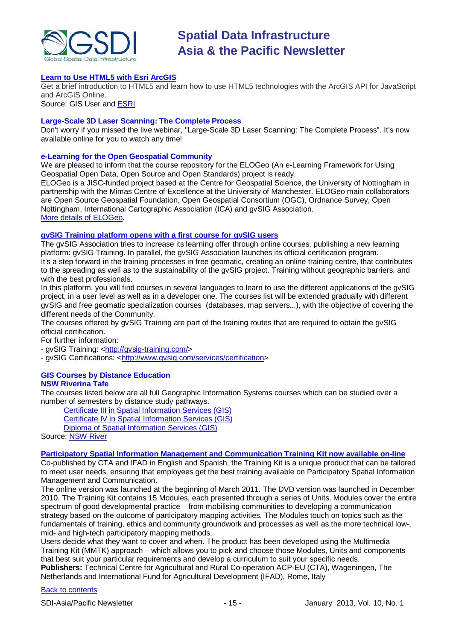

# **[Learn to Use HTML5 with Esri ArcGIS](http://www.gisuser.com/content/view/25915/2/)**

Get a brief introduction to HTML5 and learn how to use HTML5 technologies with the ArcGIS API for JavaScript and ArcGIS Online.

Source: GIS User and [ESRI](http://training.esri.com/Gateway/index.cfm?fa=seminars.gateway)

## **[Large-Scale 3D Laser Scanning: The Complete Process](http://www.faro.com/site/resources/details/1373?CampaignId=70170000000bbwr)**

Don't worry if you missed the live webinar, "Large-Scale 3D Laser Scanning: The Complete Process". It's now available online for you to watch any time!

### **[e-Learning for the Open Geospatial Community](http://elogeo.nottingham.ac.uk/xmlui)**

We are pleased to inform that the course repository for the ELOGeo (An e-Learning Framework for Using Geospatial Open Data, Open Source and Open Standards) project is ready.

ELOGeo is a JISC-funded project based at the Centre for Geospatial Science, the University of Nottingham in partnership with the Mimas Centre of Excellence at the University of Manchester. ELOGeo main collaborators are Open Source Geospatial Foundation, Open Geospatial Consortium (OGC), Ordnance Survey, Open Nottingham, International Cartographic Association (ICA) and gvSIG Association. [More details of ELOGeo.](http://elogeo.nottingham.ac.uk/index.html)

#### **gvSIG Training platform opens with a first course for gvSIG users**

The gvSIG Association tries to increase its learning offer through online courses, publishing a new learning platform: gvSIG Training. In parallel, the gvSIG Association launches its official certification program. It's a step forward in the training processes in free geomatic, creating an online training centre, that contributes to the spreading as well as to the sustainability of the gvSIG project. Training without geographic barriers, and with the best professionals.

In this platform, you will find courses in several languages to learn to use the different applications of the gvSIG project, in a user level as well as in a developer one. The courses list will be extended gradually with different gvSIG and free geomatic specialization courses (databases, map servers...), with the objective of covering the different needs of the Community.

The courses offered by gvSIG Training are part of the training routes that are required to obtain the gvSIG official certification.

For further information:

- gvSIG Training: [<http://gvsig-training.com/>](http://gvsig-training.com/)

- gvSIG Certifications: [<http://www.gvsig.com/services/certification>](http://www.gvsig.com/services/certification)

#### **GIS Courses by Distance Education NSW Riverina Tafe**

The courses listed below are all full Geographic Information Systems courses which can be studied over a number of semesters by distance study pathways.

[Certificate III in Spatial Information Services \(GIS\)](http://www.rit.tafensw.edu.au/nec/nrme/giscourses#Cert III in Spatial Information Services (CPP30109))

[Certificate IV in Spatial Information Services \(GIS\)](http://www.rit.tafensw.edu.au/nec/nrme/giscourses#Cert IV in Spatial Information Services (CPP40209))

[Diploma of Spatial Information Services \(GIS\)](http://www.rit.tafensw.edu.au/nec/nrme/giscourses#Diploma of Spatial Information Services (CPP50207))

Sourc[e: NSW River](http://www.rit.tafensw.edu.au/nec/nrme/giscourses)

# **[Participatory Spatial Information Management and Communication Training Kit now available on-line](http://www.cta.int/en/About-us/CTA-news/Participatory-Spatial-Information-Management-and-Communication-Training-Kit-now-available-on-line)**

Co-published by CTA and IFAD in English and Spanish, the Training Kit is a unique product that can be tailored to meet user needs, ensuring that employees get the best training available on Participatory Spatial Information Management and Communication.

The [online version](http://pgis-tk.cta.int/) was launched at the beginning of March 2011. The DVD version was launched in December 2010. The Training Kit contains 15 Modules, each presented through a series of Units. Modules cover the entire spectrum of good developmental practice – from mobilising communities to developing a communication strategy based on the outcome of participatory mapping activities. The Modules touch on topics such as the fundamentals of training, ethics and community groundwork and processes as well as the more technical low-, mid- and high-tech participatory mapping methods.

Users decide what they want to cover and when. The product has been developed using the Multimedia Training Kit (MMTK) approach – which allows you to pick and choose those Modules, Units and components that best suit your particular requirements and develop a curriculum to suit your specific needs. **Publishers:** Technical Centre for Agricultural and Rural Co-operation ACP-EU (CTA), Wageningen, The Netherlands and International Fund for Agricultural Development (IFAD), Rome, Italy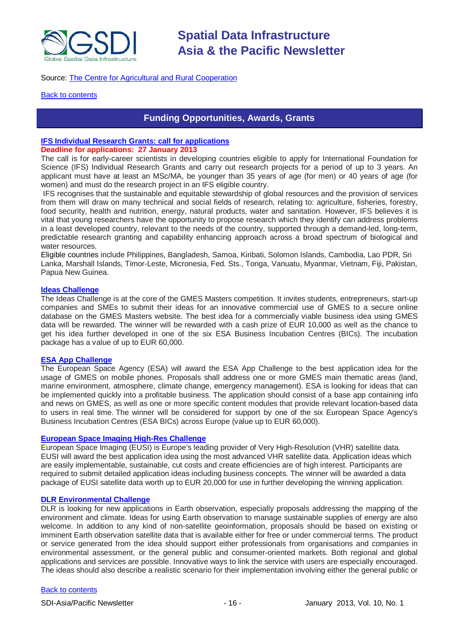

# Source: [The Centre for Agricultural and Rural Cooperation](http://www.cta.int/en/About-us/Who-we-are)

### <span id="page-15-0"></span>**[Back to contents](#page-0-0)**

# **Funding Opportunities, Awards, Grants**

#### **[IFS Individual Research Grants: call for applications](http://www.ifs.se/) Deadline for applications: 27 January 2013**

The call is for early-career scientists in developing countries eligible to apply for International Foundation for Science (IFS) Individual Research Grants and carry out research projects for a period of up to 3 years. An applicant must have at least an MSc/MA, be younger than 35 years of age (for men) or 40 years of age (for women) and must do the research project in an IFS eligible country.

IFS recognises that the sustainable and equitable stewardship of global resources and the provision of services from them will draw on many technical and social fields of research, relating to: agriculture, fisheries, forestry, food security, health and nutrition, energy, natural products, water and sanitation. However, IFS believes it is vital that young researchers have the opportunity to propose research which they identify can address problems in a least developed country, relevant to the needs of the country, supported through a demand-led, long-term, predictable research granting and capability enhancing approach across a broad spectrum of biological and water resources.

Eligible countries include Philippines, Bangladesh, Samoa, Kiribati, Solomon Islands, Cambodia, Lao PDR, Sri Lanka, Marshall Islands, Timor-Leste, Micronesia, Fed. Sts., Tonga, Vanuatu, Myanmar, Vietnam, Fiji, Pakistan, Papua New Guinea.

#### **[Ideas Challenge](http://www.gmes-masters.com/ideas-challenge)**

The Ideas Challenge is at the core of the GMES Masters competition. It invites students, entrepreneurs, start-up companies and SMEs to submit their ideas for an innovative commercial use of GMES to a secure online database on the GMES Masters website. The best idea for a commercially viable business idea using GMES data will be rewarded. The winner will be rewarded with a cash prize of EUR 10,000 as well as the chance to get his idea further developed in one of the six ESA Business Incubation Centres (BICs). The incubation package has a value of up to EUR 60,000.

# **[ESA App Challenge](http://www.gmes-masters.com/esa-app-challenge)**

The European Space Agency (ESA) will award the ESA App Challenge to the best application idea for the usage of GMES on mobile phones. Proposals shall address one or more GMES main thematic areas (land, marine environment, atmosphere, climate change, emergency management). ESA is looking for ideas that can be implemented quickly into a profitable business. The application should consist of a base app containing info and news on GMES, as well as one or more specific content modules that provide relevant location-based data to users in real time. The winner will be considered for support by one of the six European Space Agency's Business Incubation Centres (ESA BICs) across Europe (value up to EUR 60,000).

# **[European Space Imaging High-Res Challenge](http://www.gmes-masters.com/european-space-0)**

European Space Imaging (EUSI) is Europe's leading provider of Very High-Resolution (VHR) satellite data. EUSI will award the best application idea using the most advanced VHR satellite data. Application ideas which are easily implementable, sustainable, cut costs and create efficiencies are of high interest. Participants are required to submit detailed application ideas including business concepts. The winner will be awarded a data package of EUSI satellite data worth up to EUR 20,000 for use in further developing the winning application.

#### **[DLR Environmental Challenge](http://www.gmes-masters.com/dlr-environmental)**

DLR is looking for new applications in Earth observation, especially proposals addressing the mapping of the environment and climate. Ideas for using Earth observation to manage sustainable supplies of energy are also welcome. In addition to any kind of non-satellite geoinformation, proposals should be based on existing or imminent Earth observation satellite data that is available either for free or under commercial terms. The product or service generated from the idea should support either professionals from organisations and companies in environmental assessment, or the general public and consumer-oriented markets. Both regional and global applications and services are possible. Innovative ways to link the service with users are especially encouraged. The ideas should also describe a realistic scenario for their implementation involving either the general public or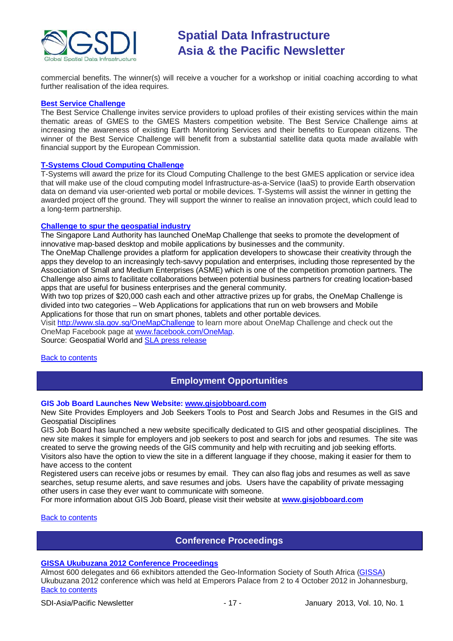

commercial benefits. The winner(s) will receive a voucher for a workshop or initial coaching according to what further realisation of the idea requires.

#### **[Best Service Challenge](http://www.gmes-masters.com/best-service)**

The Best Service Challenge invites service providers to upload profiles of their existing services within the main thematic areas of GMES to the GMES Masters competition website. The Best Service Challenge aims at increasing the awareness of existing Earth Monitoring Services and their benefits to European citizens. The winner of the Best Service Challenge will benefit from a substantial satellite data quota made available with financial support by the European Commission.

### **[T-Systems Cloud Computing Challenge](http://www.gmes-masters.com/t-systems-cloud)**

T-Systems will award the prize for its Cloud Computing Challenge to the best GMES application or service idea that will make use of the cloud computing model Infrastructure-as-a-Service (IaaS) to provide Earth observation data on demand via user-oriented web portal or mobile devices. T-Systems will assist the winner in getting the awarded project off the ground. They will support the winner to realise an innovation project, which could lead to a long-term partnership.

#### **[Challenge to spur the geospatial industry](http://geospatialworld.net/index.php?option=com_content&view=article&id=23850:challenge-to-spur-the-geospatial-industry&catid=75:miscellaneous-events)**

The Singapore Land Authority has launched OneMap Challenge that seeks to promote the development of innovative map-based desktop and mobile applications by businesses and the community.

The OneMap Challenge provides a platform for application developers to showcase their creativity through the apps they develop to an increasingly tech-savvy population and enterprises, including those represented by the Association of Small and Medium Enterprises (ASME) which is one of the competition promotion partners. The Challenge also aims to facilitate collaborations between potential business partners for creating location-based apps that are useful for business enterprises and the general community.

With two top prizes of \$20,000 cash each and other attractive prizes up for grabs, the OneMap Challenge is divided into two categories – Web Applications for applications that run on web browsers and Mobile Applications for those that run on smart phones, tablets and other portable devices.

Visit <http://www.sla.gov.sg/OneMapChallenge> to learn more about OneMap Challenge and check out the OneMap Facebook page at [www.facebook.com/OneMap.](http://www.facebook.com/OneMap)

Source: Geospatial World and [SLA press release](http://www.sla.gov.sg/htm/new/new2012/new0401.htm)

#### <span id="page-16-0"></span>[Back to contents](#page-0-0)

# **Employment Opportunities**

# **GIS Job Board Launches New Website: [www.gisjobboard.com](http://www.gisjobboard.com/)**

New Site Provides Employers and Job Seekers Tools to Post and Search Jobs and Resumes in the GIS and Geospatial Disciplines

GIS Job Board has launched a new website specifically dedicated to GIS and other geospatial disciplines. The new site makes it simple for employers and job seekers to post and search for jobs and resumes. The site was created to serve the growing needs of the GIS community and help with recruiting and job seeking efforts. Visitors also have the option to view the site in a different language if they choose, making it easier for them to have access to the content

Registered users can receive jobs or resumes by email. They can also flag jobs and resumes as well as save searches, setup resume alerts, and save resumes and jobs. Users have the capability of private messaging other users in case they ever want to communicate with someone.

For more information about GIS Job Board, please visit their website at **[www.gisjobboard.com](http://www.gisjobboard.com/)**

#### <span id="page-16-1"></span>[Back to contents](#page-0-0)

# **Conference Proceedings**

# **[GISSA Ukubuzana 2012 Conference Proceedings](http://www.eepublishers.co.za/article/gissa-ukubuzana-2012-conference-proceedings.html)**

[Back to contents](#page-0-0) Almost 600 delegates and 66 exhibitors attended the Geo-Information Society of South Africa [\(GISSA\)](http://www.gissa.org.za/) Ukubuzana 2012 conference which was held at Emperors Palace from 2 to 4 October 2012 in Johannesburg,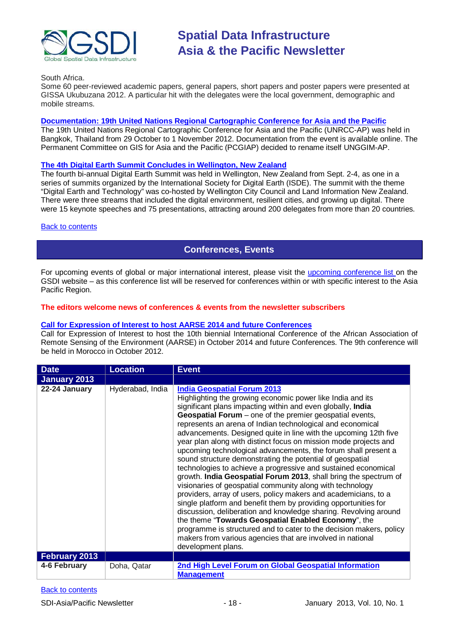

South Africa.

Some 60 peer-reviewed academic papers, general papers, short papers and poster papers were presented at GISSA Ukubuzana 2012. A particular hit with the delegates were the local government, demographic and mobile streams.

#### **[Documentation: 19th United Nations Regional Cartographic Conference for Asia and the Pacific](http://unstats.un.org/unsd/geoinfo/RCC/unrccap19.html?)**

The 19th United Nations Regional Cartographic Conference for Asia and the Pacific (UNRCC-AP) was held in Bangkok, Thailand from 29 October to 1 November 2012. Documentation from the event is available online. The Permanent Committee on GIS for Asia and the Pacific (PCGIAP) decided to rename itself UNGGIM-AP.

## **[The 4th Digital Earth Summit Concludes in Wellington, New Zealand](http://digitalearth-isde.org/news/367)**

The fourth bi-annual Digital Earth Summit was held in Wellington, New Zealand from Sept. 2-4, as one in a series of summits organized by the International Society for Digital Earth (ISDE). The summit with the theme "Digital Earth and Technology" was co-hosted by Wellington City Council and Land Information New Zealand. There were three streams that included the digital environment, resilient cities, and growing up digital. There were 15 keynote speeches and 75 presentations, attracting around 200 delegates from more than 20 countries.

#### <span id="page-17-0"></span>[Back to contents](#page-0-0)

# **Conferences, Events**

For upcoming events of global or major international interest, please visit the [upcoming conference list o](http://gsdi.org/events/upcnf.asp)n the GSDI website – as this conference list will be reserved for conferences within or with specific interest to the Asia Pacific Region.

#### **The editors welcome news of conferences & events from the newsletter subscribers**

#### **[Call for Expression of Interest to host AARSE 2014 and future Conferences](http://lists.gsdi.org/pipermail/sdi-africa/2010-November/001135.html)**

Call for Expression of Interest to host the 10th biennial International Conference of the African Association of Remote Sensing of the Environment (AARSE) in October 2014 and future Conferences. The 9th conference will be held in Morocco in October 2012.

| <b>Date</b>          | <b>Location</b>  | <b>Event</b>                                                                                                                                                                                                                                                                                                                                                                                                                                                                                                                                                                                                                                                                                                                                                                                                                                                                                                                                                                                                                                                                                                                                                                                           |
|----------------------|------------------|--------------------------------------------------------------------------------------------------------------------------------------------------------------------------------------------------------------------------------------------------------------------------------------------------------------------------------------------------------------------------------------------------------------------------------------------------------------------------------------------------------------------------------------------------------------------------------------------------------------------------------------------------------------------------------------------------------------------------------------------------------------------------------------------------------------------------------------------------------------------------------------------------------------------------------------------------------------------------------------------------------------------------------------------------------------------------------------------------------------------------------------------------------------------------------------------------------|
| January 2013         |                  |                                                                                                                                                                                                                                                                                                                                                                                                                                                                                                                                                                                                                                                                                                                                                                                                                                                                                                                                                                                                                                                                                                                                                                                                        |
| 22-24 January        | Hyderabad, India | <b>India Geospatial Forum 2013</b><br>Highlighting the growing economic power like India and its<br>significant plans impacting within and even globally, India<br><b>Geospatial Forum</b> – one of the premier geospatial events,<br>represents an arena of Indian technological and economical<br>advancements. Designed quite in line with the upcoming 12th five<br>year plan along with distinct focus on mission mode projects and<br>upcoming technological advancements, the forum shall present a<br>sound structure demonstrating the potential of geospatial<br>technologies to achieve a progressive and sustained economical<br>growth. India Geospatial Forum 2013, shall bring the spectrum of<br>visionaries of geospatial community along with technology<br>providers, array of users, policy makers and academicians, to a<br>single platform and benefit them by providing opportunities for<br>discussion, deliberation and knowledge sharing. Revolving around<br>the theme "Towards Geospatial Enabled Economy", the<br>programme is structured and to cater to the decision makers, policy<br>makers from various agencies that are involved in national<br>development plans. |
| <b>February 2013</b> |                  |                                                                                                                                                                                                                                                                                                                                                                                                                                                                                                                                                                                                                                                                                                                                                                                                                                                                                                                                                                                                                                                                                                                                                                                                        |
| 4-6 February         | Doha, Qatar      | 2nd High Level Forum on Global Geospatial Information<br><b>Management</b>                                                                                                                                                                                                                                                                                                                                                                                                                                                                                                                                                                                                                                                                                                                                                                                                                                                                                                                                                                                                                                                                                                                             |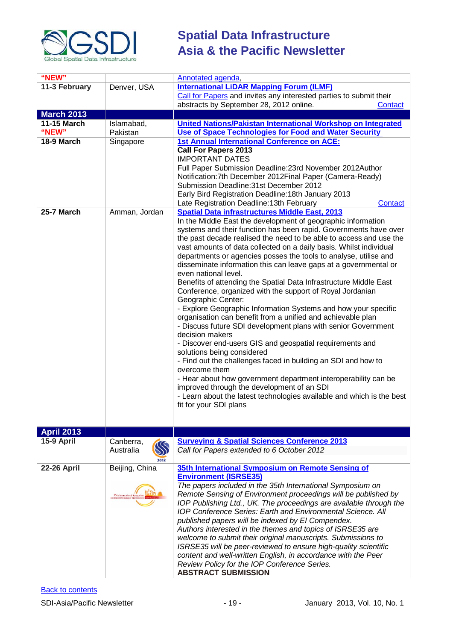

| "NEW"              |                                                   | Annotated agenda,                                                                                                                    |  |  |
|--------------------|---------------------------------------------------|--------------------------------------------------------------------------------------------------------------------------------------|--|--|
| 11-3 February      | Denver, USA                                       | <b>International LiDAR Mapping Forum (ILMF)</b>                                                                                      |  |  |
|                    |                                                   | Call for Papers and invites any interested parties to submit their                                                                   |  |  |
|                    |                                                   | abstracts by September 28, 2012 online.<br>Contact                                                                                   |  |  |
| <b>March 2013</b>  |                                                   |                                                                                                                                      |  |  |
| <b>11-15 March</b> | Islamabad,                                        | United Nations/Pakistan International Workshop on Integrated                                                                         |  |  |
| "NEW"              | Pakistan                                          | Use of Space Technologies for Food and Water Security                                                                                |  |  |
| 18-9 March         | Singapore                                         | <b>1st Annual International Conference on ACE:</b>                                                                                   |  |  |
|                    |                                                   | <b>Call For Papers 2013</b>                                                                                                          |  |  |
|                    |                                                   | <b>IMPORTANT DATES</b>                                                                                                               |  |  |
|                    |                                                   | Full Paper Submission Deadline: 23rd November 2012Author                                                                             |  |  |
|                    |                                                   | Notification: 7th December 2012 Final Paper (Camera-Ready)                                                                           |  |  |
|                    |                                                   | Submission Deadline: 31st December 2012                                                                                              |  |  |
|                    |                                                   | Early Bird Registration Deadline: 18th January 2013                                                                                  |  |  |
|                    |                                                   | Late Registration Deadline: 13th February<br>Contact                                                                                 |  |  |
| 25-7 March         | Amman, Jordan                                     | <b>Spatial Data infrastructures Middle East, 2013</b>                                                                                |  |  |
|                    |                                                   | In the Middle East the development of geographic information                                                                         |  |  |
|                    |                                                   | systems and their function has been rapid. Governments have over                                                                     |  |  |
|                    |                                                   | the past decade realised the need to be able to access and use the                                                                   |  |  |
|                    |                                                   | vast amounts of data collected on a daily basis. Whilst individual                                                                   |  |  |
|                    |                                                   | departments or agencies posses the tools to analyse, utilise and                                                                     |  |  |
|                    |                                                   | disseminate information this can leave gaps at a governmental or                                                                     |  |  |
|                    |                                                   | even national level.                                                                                                                 |  |  |
|                    |                                                   | Benefits of attending the Spatial Data Infrastructure Middle East                                                                    |  |  |
|                    |                                                   | Conference, organized with the support of Royal Jordanian<br>Geographic Center:                                                      |  |  |
|                    |                                                   | - Explore Geographic Information Systems and how your specific                                                                       |  |  |
|                    |                                                   | organisation can benefit from a unified and achievable plan                                                                          |  |  |
|                    |                                                   | - Discuss future SDI development plans with senior Government                                                                        |  |  |
|                    |                                                   | decision makers                                                                                                                      |  |  |
|                    |                                                   | - Discover end-users GIS and geospatial requirements and                                                                             |  |  |
|                    |                                                   | solutions being considered                                                                                                           |  |  |
|                    |                                                   | - Find out the challenges faced in building an SDI and how to                                                                        |  |  |
|                    |                                                   | overcome them                                                                                                                        |  |  |
|                    |                                                   | - Hear about how government department interoperability can be                                                                       |  |  |
|                    |                                                   | improved through the development of an SDI                                                                                           |  |  |
|                    |                                                   | - Learn about the latest technologies available and which is the best                                                                |  |  |
|                    |                                                   | fit for your SDI plans                                                                                                               |  |  |
|                    |                                                   |                                                                                                                                      |  |  |
|                    |                                                   |                                                                                                                                      |  |  |
| <b>April 2013</b>  |                                                   |                                                                                                                                      |  |  |
| 15-9 April         | Canberra,<br>$\mathbb{C}$                         | <b>Surveying &amp; Spatial Sciences Conference 2013</b>                                                                              |  |  |
|                    | Australia                                         | Call for Papers extended to 6 October 2012                                                                                           |  |  |
|                    | 2013                                              |                                                                                                                                      |  |  |
| <b>22-26 April</b> | Beijing, China                                    | 35th International Symposium on Remote Sensing of                                                                                    |  |  |
|                    |                                                   | <b>Environment (ISRSE35)</b>                                                                                                         |  |  |
|                    |                                                   | The papers included in the 35th International Symposium on                                                                           |  |  |
|                    | 35th International Syr<br>on Remote Sensing of Em | Remote Sensing of Environment proceedings will be published by<br>IOP Publishing Ltd., UK. The proceedings are available through the |  |  |
|                    |                                                   | <b>IOP Conference Series: Earth and Environmental Science. All</b>                                                                   |  |  |
|                    |                                                   | published papers will be indexed by El Compendex.                                                                                    |  |  |
|                    |                                                   | Authors interested in the themes and topics of ISRSE35 are                                                                           |  |  |
|                    |                                                   | welcome to submit their original manuscripts. Submissions to                                                                         |  |  |
|                    |                                                   | ISRSE35 will be peer-reviewed to ensure high-quality scientific                                                                      |  |  |
|                    |                                                   | content and well-written English, in accordance with the Peer                                                                        |  |  |
|                    |                                                   | Review Policy for the IOP Conference Series.                                                                                         |  |  |
|                    |                                                   | <b>ABSTRACT SUBMISSION</b>                                                                                                           |  |  |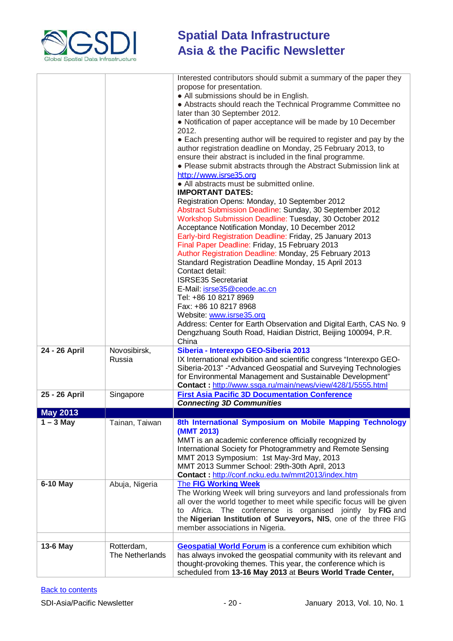

|                 |                 | Interested contributors should submit a summary of the paper they                                                                 |
|-----------------|-----------------|-----------------------------------------------------------------------------------------------------------------------------------|
|                 |                 | propose for presentation.<br>• All submissions should be in English.                                                              |
|                 |                 | • Abstracts should reach the Technical Programme Committee no                                                                     |
|                 |                 | later than 30 September 2012.                                                                                                     |
|                 |                 | • Notification of paper acceptance will be made by 10 December                                                                    |
|                 |                 | 2012.                                                                                                                             |
|                 |                 | • Each presenting author will be required to register and pay by the                                                              |
|                 |                 | author registration deadline on Monday, 25 February 2013, to                                                                      |
|                 |                 | ensure their abstract is included in the final programme.                                                                         |
|                 |                 | • Please submit abstracts through the Abstract Submission link at                                                                 |
|                 |                 | http://www.isrse35.org                                                                                                            |
|                 |                 | • All abstracts must be submitted online.                                                                                         |
|                 |                 | <b>IMPORTANT DATES:</b>                                                                                                           |
|                 |                 | Registration Opens: Monday, 10 September 2012                                                                                     |
|                 |                 | Abstract Submission Deadline: Sunday, 30 September 2012                                                                           |
|                 |                 | Workshop Submission Deadline: Tuesday, 30 October 2012                                                                            |
|                 |                 | Acceptance Notification Monday, 10 December 2012                                                                                  |
|                 |                 | Early-bird Registration Deadline: Friday, 25 January 2013                                                                         |
|                 |                 | Final Paper Deadline: Friday, 15 February 2013                                                                                    |
|                 |                 | Author Registration Deadline: Monday, 25 February 2013                                                                            |
|                 |                 | Standard Registration Deadline Monday, 15 April 2013                                                                              |
|                 |                 | Contact detail:                                                                                                                   |
|                 |                 | <b>ISRSE35 Secretariat</b>                                                                                                        |
|                 |                 | E-Mail: isrse35@ceode.ac.cn<br>Tel: +86 10 8217 8969                                                                              |
|                 |                 | Fax: +86 10 8217 8968                                                                                                             |
|                 |                 | Website: www.isrse35.org                                                                                                          |
|                 |                 | Address: Center for Earth Observation and Digital Earth, CAS No. 9                                                                |
|                 |                 | Dengzhuang South Road, Haidian District, Beijing 100094, P.R.                                                                     |
|                 |                 | China                                                                                                                             |
| 24 - 26 April   | Novosibirsk,    | Siberia - Interexpo GEO-Siberia 2013                                                                                              |
|                 | Russia          | IX International exhibition and scientific congress "Interexpo GEO-                                                               |
|                 |                 | Siberia-2013" - "Advanced Geospatial and Surveying Technologies                                                                   |
|                 |                 | for Environmental Management and Sustainable Development"                                                                         |
|                 |                 | Contact: http://www.ssga.ru/main/news/view/428/1/5555.html                                                                        |
| 25 - 26 April   | Singapore       | <b>First Asia Pacific 3D Documentation Conference</b>                                                                             |
|                 |                 | <b>Connecting 3D Communities</b>                                                                                                  |
| <b>May 2013</b> |                 |                                                                                                                                   |
| $1 - 3$ May     | Tainan, Taiwan  | 8th International Symposium on Mobile Mapping Technology                                                                          |
|                 |                 | (MMT 2013)<br>MMT is an academic conference officially recognized by                                                              |
|                 |                 | International Society for Photogrammetry and Remote Sensing                                                                       |
|                 |                 | MMT 2013 Symposium: 1st May-3rd May, 2013                                                                                         |
|                 |                 | MMT 2013 Summer School: 29th-30th April, 2013                                                                                     |
|                 |                 | Contact: http://conf.ncku.edu.tw/mmt2013/index.htm                                                                                |
| 6-10 May        | Abuja, Nigeria  | <b>The FIG Working Week</b>                                                                                                       |
|                 |                 | The Working Week will bring surveyors and land professionals from                                                                 |
|                 |                 | all over the world together to meet while specific focus will be given                                                            |
|                 |                 | Africa. The conference is organised jointly by FIG and<br>to                                                                      |
|                 |                 | the Nigerian Institution of Surveyors, NIS, one of the three FIG                                                                  |
|                 |                 | member associations in Nigeria.                                                                                                   |
|                 |                 |                                                                                                                                   |
| 13-6 May        | Rotterdam,      | <b>Geospatial World Forum</b> is a conference cum exhibition which                                                                |
|                 | The Netherlands | has always invoked the geospatial community with its relevant and<br>thought-provoking themes. This year, the conference which is |
|                 |                 | scheduled from 13-16 May 2013 at Beurs World Trade Center,                                                                        |
|                 |                 |                                                                                                                                   |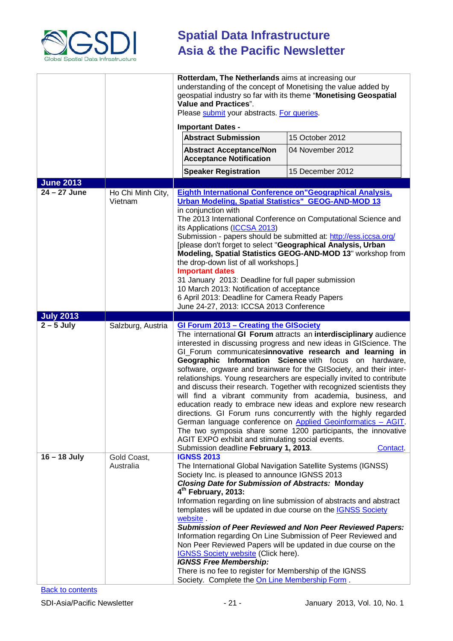

|                  |                              | Rotterdam, The Netherlands aims at increasing our<br>understanding of the concept of Monetising the value added by<br>geospatial industry so far with its theme "Monetising Geospatial<br><b>Value and Practices".</b><br>Please submit your abstracts. For queries.                                                                                                                                                                                                                                                                                                                                                                                                                                                                                                                                                                                                                                                                                                              |                  |  |
|------------------|------------------------------|-----------------------------------------------------------------------------------------------------------------------------------------------------------------------------------------------------------------------------------------------------------------------------------------------------------------------------------------------------------------------------------------------------------------------------------------------------------------------------------------------------------------------------------------------------------------------------------------------------------------------------------------------------------------------------------------------------------------------------------------------------------------------------------------------------------------------------------------------------------------------------------------------------------------------------------------------------------------------------------|------------------|--|
|                  |                              | <b>Important Dates -</b>                                                                                                                                                                                                                                                                                                                                                                                                                                                                                                                                                                                                                                                                                                                                                                                                                                                                                                                                                          |                  |  |
|                  |                              | <b>Abstract Submission</b>                                                                                                                                                                                                                                                                                                                                                                                                                                                                                                                                                                                                                                                                                                                                                                                                                                                                                                                                                        | 15 October 2012  |  |
|                  |                              | <b>Abstract Acceptance/Non</b><br><b>Acceptance Notification</b>                                                                                                                                                                                                                                                                                                                                                                                                                                                                                                                                                                                                                                                                                                                                                                                                                                                                                                                  | 04 November 2012 |  |
|                  |                              | <b>Speaker Registration</b>                                                                                                                                                                                                                                                                                                                                                                                                                                                                                                                                                                                                                                                                                                                                                                                                                                                                                                                                                       | 15 December 2012 |  |
| <b>June 2013</b> |                              |                                                                                                                                                                                                                                                                                                                                                                                                                                                                                                                                                                                                                                                                                                                                                                                                                                                                                                                                                                                   |                  |  |
| $24 - 27$ June   | Ho Chi Minh City,<br>Vietnam | <b>Eighth International Conference on "Geographical Analysis,</b><br>Urban Modeling, Spatial Statistics" GEOG-AND-MOD 13<br>in conjunction with<br>The 2013 International Conference on Computational Science and<br>its Applications (ICCSA 2013)<br>Submission - papers should be submitted at: http://ess.iccsa.org/<br>[please don't forget to select "Geographical Analysis, Urban<br>Modeling, Spatial Statistics GEOG-AND-MOD 13" workshop from<br>the drop-down list of all workshops.]<br><b>Important dates</b><br>31 January 2013: Deadline for full paper submission<br>10 March 2013: Notification of acceptance<br>6 April 2013: Deadline for Camera Ready Papers<br>June 24-27, 2013: ICCSA 2013 Conference                                                                                                                                                                                                                                                        |                  |  |
| <b>July 2013</b> |                              |                                                                                                                                                                                                                                                                                                                                                                                                                                                                                                                                                                                                                                                                                                                                                                                                                                                                                                                                                                                   |                  |  |
| $2 - 5$ July     | Salzburg, Austria            | <b>GI Forum 2013 - Creating the GISociety</b><br>The international GI Forum attracts an interdisciplinary audience<br>interested in discussing progress and new ideas in GIScience. The<br>GI_Forum communicatesinnovative research and learning in<br>Geographic Information Science with focus on hardware,<br>software, orgware and brainware for the GISociety, and their inter-<br>relationships. Young researchers are especially invited to contribute<br>and discuss their research. Together with recognized scientists they<br>will find a vibrant community from academia, business, and<br>education ready to embrace new ideas and explore new research<br>directions. GI Forum runs concurrently with the highly regarded<br>German language conference on Applied Geoinformatics - AGIT.<br>The two symposia share some 1200 participants, the innovative<br>AGIT EXPO exhibit and stimulating social events.<br>Submission deadline February 1, 2013.<br>Contact. |                  |  |
| $16 - 18$ July   | Gold Coast,<br>Australia     | <b>IGNSS 2013</b><br>The International Global Navigation Satellite Systems (IGNSS)<br>Society Inc. is pleased to announce IGNSS 2013<br><b>Closing Date for Submission of Abstracts: Monday</b><br>4 <sup>th</sup> February, 2013:<br>Information regarding on line submission of abstracts and abstract<br>templates will be updated in due course on the <b>IGNSS Society</b><br>website.<br><b>Submission of Peer Reviewed and Non Peer Reviewed Papers:</b><br>Information regarding On Line Submission of Peer Reviewed and<br>Non Peer Reviewed Papers will be updated in due course on the<br><b>IGNSS Society website (Click here).</b><br><b>IGNSS Free Membership:</b><br>There is no fee to register for Membership of the IGNSS<br>Society. Complete the On Line Membership Form.                                                                                                                                                                                     |                  |  |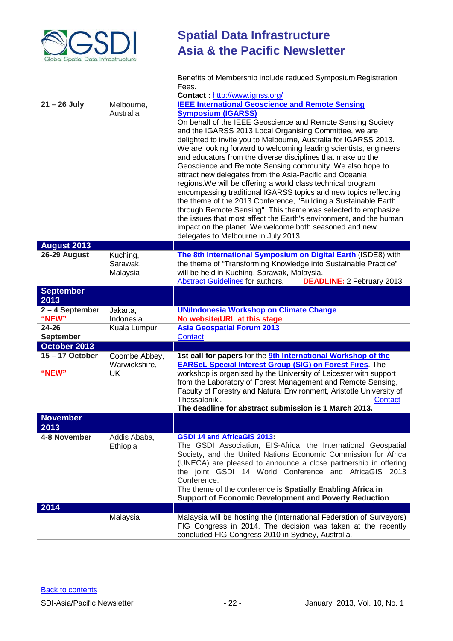

|                            |                                             | Benefits of Membership include reduced Symposium Registration                                                                                                                                                                                                                                                                                                                                                                                                                                                                                                                                                                                                                                                                                                                                                                                                                                                                     |  |  |
|----------------------------|---------------------------------------------|-----------------------------------------------------------------------------------------------------------------------------------------------------------------------------------------------------------------------------------------------------------------------------------------------------------------------------------------------------------------------------------------------------------------------------------------------------------------------------------------------------------------------------------------------------------------------------------------------------------------------------------------------------------------------------------------------------------------------------------------------------------------------------------------------------------------------------------------------------------------------------------------------------------------------------------|--|--|
|                            |                                             | Fees.<br>Contact: http://www.ignss.org/                                                                                                                                                                                                                                                                                                                                                                                                                                                                                                                                                                                                                                                                                                                                                                                                                                                                                           |  |  |
| $21 - 26$ July             | Melbourne,                                  | <b>IEEE International Geoscience and Remote Sensing</b>                                                                                                                                                                                                                                                                                                                                                                                                                                                                                                                                                                                                                                                                                                                                                                                                                                                                           |  |  |
|                            | Australia                                   | <b>Symposium (IGARSS)</b><br>On behalf of the IEEE Geoscience and Remote Sensing Society<br>and the IGARSS 2013 Local Organising Committee, we are<br>delighted to invite you to Melbourne, Australia for IGARSS 2013.<br>We are looking forward to welcoming leading scientists, engineers<br>and educators from the diverse disciplines that make up the<br>Geoscience and Remote Sensing community. We also hope to<br>attract new delegates from the Asia-Pacific and Oceania<br>regions. We will be offering a world class technical program<br>encompassing traditional IGARSS topics and new topics reflecting<br>the theme of the 2013 Conference, "Building a Sustainable Earth<br>through Remote Sensing". This theme was selected to emphasize<br>the issues that most affect the Earth's environment, and the human<br>impact on the planet. We welcome both seasoned and new<br>delegates to Melbourne in July 2013. |  |  |
| <b>August 2013</b>         |                                             |                                                                                                                                                                                                                                                                                                                                                                                                                                                                                                                                                                                                                                                                                                                                                                                                                                                                                                                                   |  |  |
| 26-29 August               | Kuching,<br>Sarawak,<br>Malaysia            | The 8th International Symposium on Digital Earth (ISDE8) with<br>the theme of "Transforming Knowledge into Sustainable Practice"<br>will be held in Kuching, Sarawak, Malaysia.<br><b>Abstract Guidelines</b> for authors.<br><b>DEADLINE: 2 February 2013</b>                                                                                                                                                                                                                                                                                                                                                                                                                                                                                                                                                                                                                                                                    |  |  |
| <b>September</b><br>2013   |                                             |                                                                                                                                                                                                                                                                                                                                                                                                                                                                                                                                                                                                                                                                                                                                                                                                                                                                                                                                   |  |  |
| $2 - 4$ September<br>"NEW" | Jakarta,<br>Indonesia                       | <b>UN/Indonesia Workshop on Climate Change</b><br>No website/URL at this stage                                                                                                                                                                                                                                                                                                                                                                                                                                                                                                                                                                                                                                                                                                                                                                                                                                                    |  |  |
| $24 - 26$                  | Kuala Lumpur                                | <b>Asia Geospatial Forum 2013</b>                                                                                                                                                                                                                                                                                                                                                                                                                                                                                                                                                                                                                                                                                                                                                                                                                                                                                                 |  |  |
| <b>September</b>           |                                             | Contact                                                                                                                                                                                                                                                                                                                                                                                                                                                                                                                                                                                                                                                                                                                                                                                                                                                                                                                           |  |  |
| October 2013               |                                             |                                                                                                                                                                                                                                                                                                                                                                                                                                                                                                                                                                                                                                                                                                                                                                                                                                                                                                                                   |  |  |
| $15 - 17$ October<br>"NEW" | Coombe Abbey,<br>Warwickshire,<br><b>UK</b> | 1st call for papers for the 9th International Workshop of the<br><b>EARSeL Special Interest Group (SIG) on Forest Fires.</b> The<br>workshop is organised by the University of Leicester with support<br>from the Laboratory of Forest Management and Remote Sensing,<br>Faculty of Forestry and Natural Environment, Aristotle University of<br>Thessaloniki.<br>Contact<br>The deadline for abstract submission is 1 March 2013.                                                                                                                                                                                                                                                                                                                                                                                                                                                                                                |  |  |
| <b>November</b><br>2013    |                                             |                                                                                                                                                                                                                                                                                                                                                                                                                                                                                                                                                                                                                                                                                                                                                                                                                                                                                                                                   |  |  |
| 4-8 November               | Addis Ababa,<br>Ethiopia                    | <b>GSDI 14 and AfricaGIS 2013:</b><br>The GSDI Association, EIS-Africa, the International Geospatial<br>Society, and the United Nations Economic Commission for Africa<br>(UNECA) are pleased to announce a close partnership in offering<br>the joint GSDI 14 World Conference and AfricaGIS 2013<br>Conference.<br>The theme of the conference is Spatially Enabling Africa in<br><b>Support of Economic Development and Poverty Reduction.</b>                                                                                                                                                                                                                                                                                                                                                                                                                                                                                 |  |  |
| 2014                       |                                             |                                                                                                                                                                                                                                                                                                                                                                                                                                                                                                                                                                                                                                                                                                                                                                                                                                                                                                                                   |  |  |
|                            | Malaysia                                    | Malaysia will be hosting the (International Federation of Surveyors)<br>FIG Congress in 2014. The decision was taken at the recently<br>concluded FIG Congress 2010 in Sydney, Australia.                                                                                                                                                                                                                                                                                                                                                                                                                                                                                                                                                                                                                                                                                                                                         |  |  |